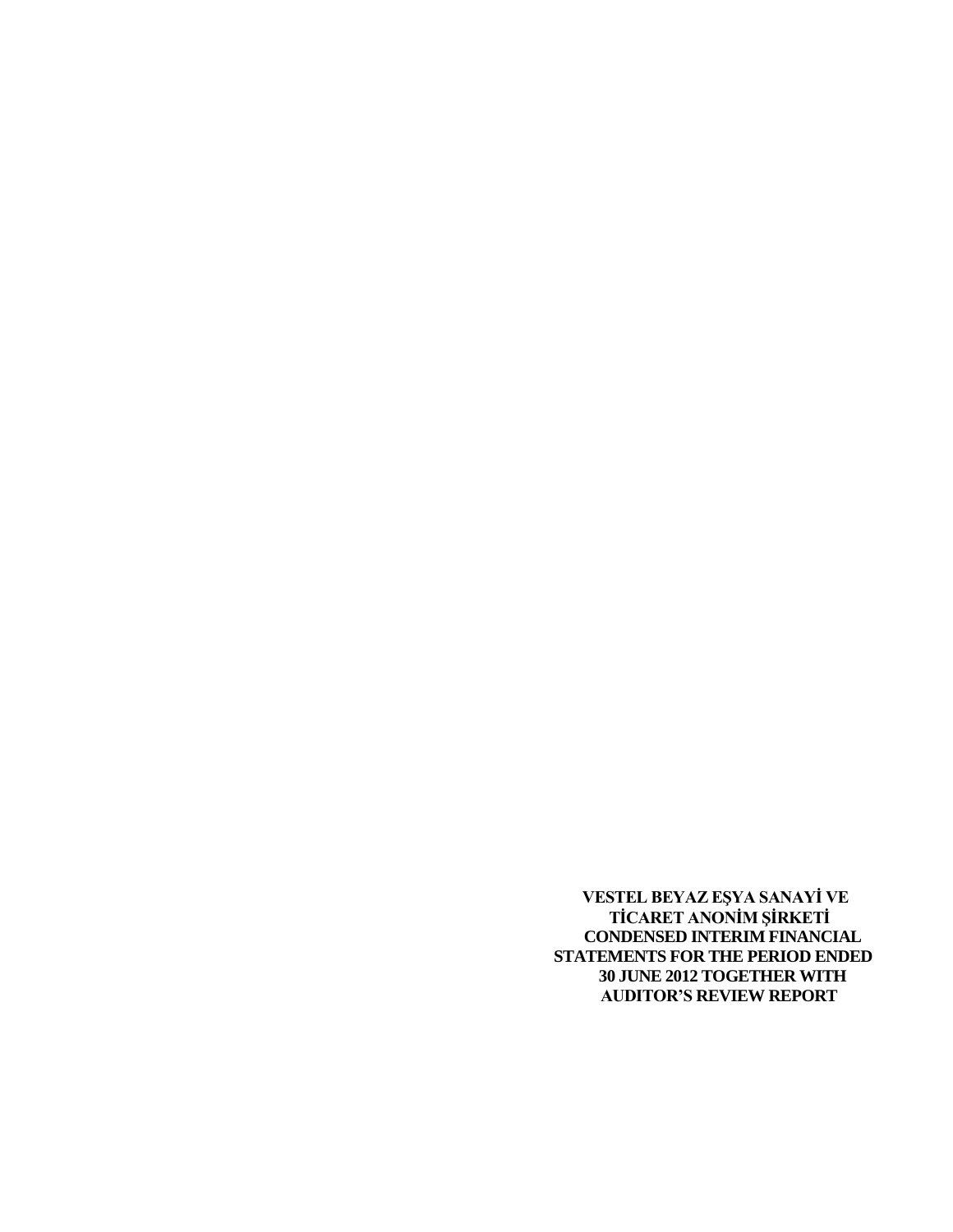**VESTEL BEYAZ EŞYA SANAYİ VE TİCARET ANONİM ŞİRKETİ CONDENSED INTERIM FINANCIAL STATEMENTS FOR THE PERIOD ENDED 30 JUNE 2012 TOGETHER WITH AUDITOR'S REVIEW REPORT**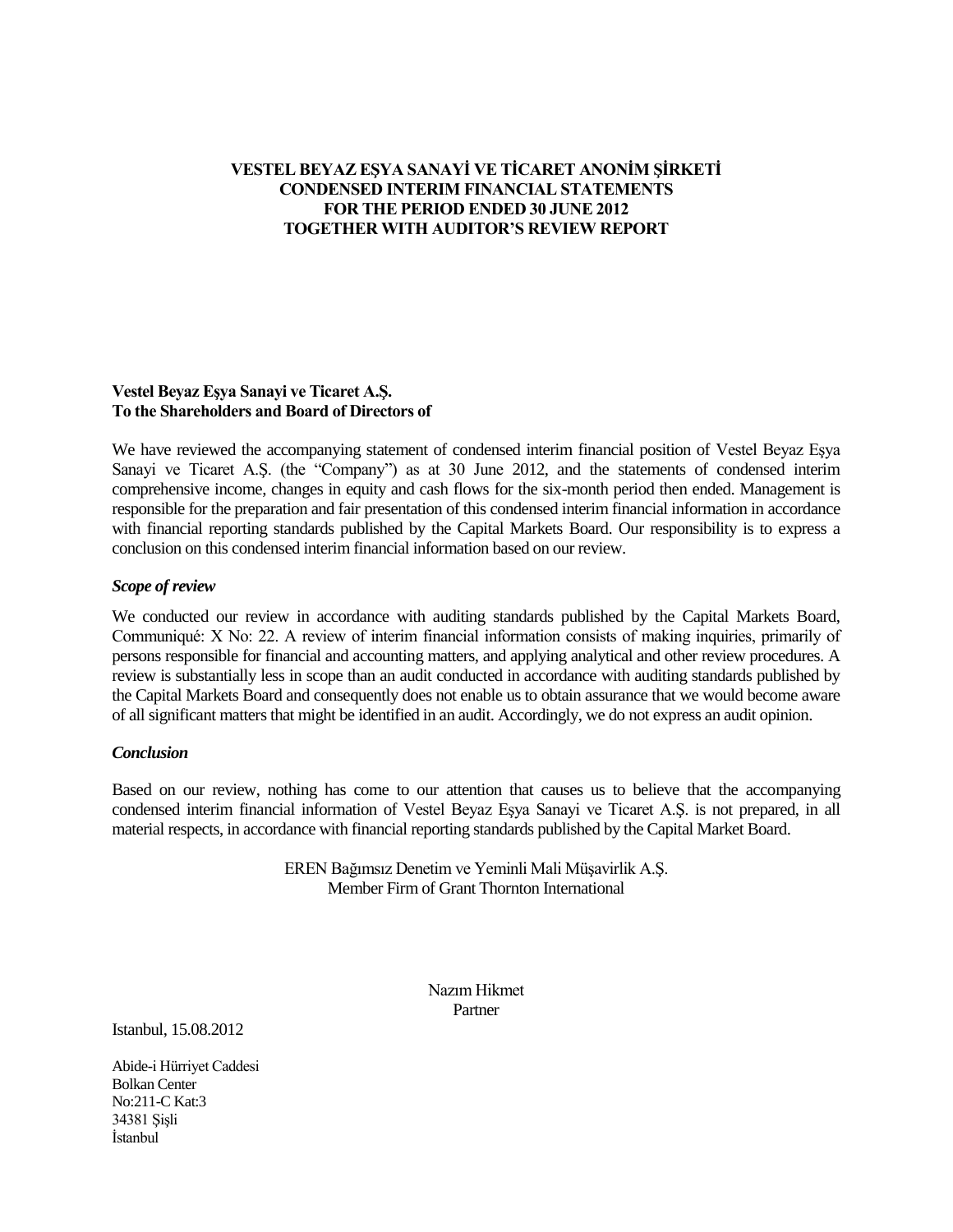# **VESTEL BEYAZ EŞYA SANAYİ VE TİCARET ANONİM ŞİRKETİ CONDENSED INTERIM FINANCIAL STATEMENTS FOR THE PERIOD ENDED 30 JUNE 2012 TOGETHER WITH AUDITOR'S REVIEW REPORT**

#### **Vestel Beyaz Eşya Sanayi ve Ticaret A.Ş. To the Shareholders and Board of Directors of**

We have reviewed the accompanying statement of condensed interim financial position of Vestel Beyaz Eşya Sanayi ve Ticaret A.S. (the "Company") as at 30 June 2012, and the statements of condensed interim comprehensive income, changes in equity and cash flows for the six-month period then ended. Management is responsible for the preparation and fair presentation of this condensed interim financial information in accordance with financial reporting standards published by the Capital Markets Board. Our responsibility is to express a conclusion on this condensed interim financial information based on our review.

## *Scope of review*

We conducted our review in accordance with auditing standards published by the Capital Markets Board, Communiqué: X No: 22. A review of interim financial information consists of making inquiries, primarily of persons responsible for financial and accounting matters, and applying analytical and other review procedures. A review is substantially less in scope than an audit conducted in accordance with auditing standards published by the Capital Markets Board and consequently does not enable us to obtain assurance that we would become aware of all significant matters that might be identified in an audit. Accordingly, we do not express an audit opinion.

## *Conclusion*

Based on our review, nothing has come to our attention that causes us to believe that the accompanying condensed interim financial information of Vestel Beyaz Eşya Sanayi ve Ticaret A.Ş. is not prepared, in all material respects, in accordance with financial reporting standards published by the Capital Market Board.

> EREN Bağımsız Denetim ve Yeminli Mali Müşavirlik A.Ş. Member Firm of Grant Thornton International

> > Nazım Hikmet Partner

Istanbul, 15.08.2012

Abide-i Hürriyet Caddesi Bolkan Center No:211-C Kat:3 34381 Şişli İstanbul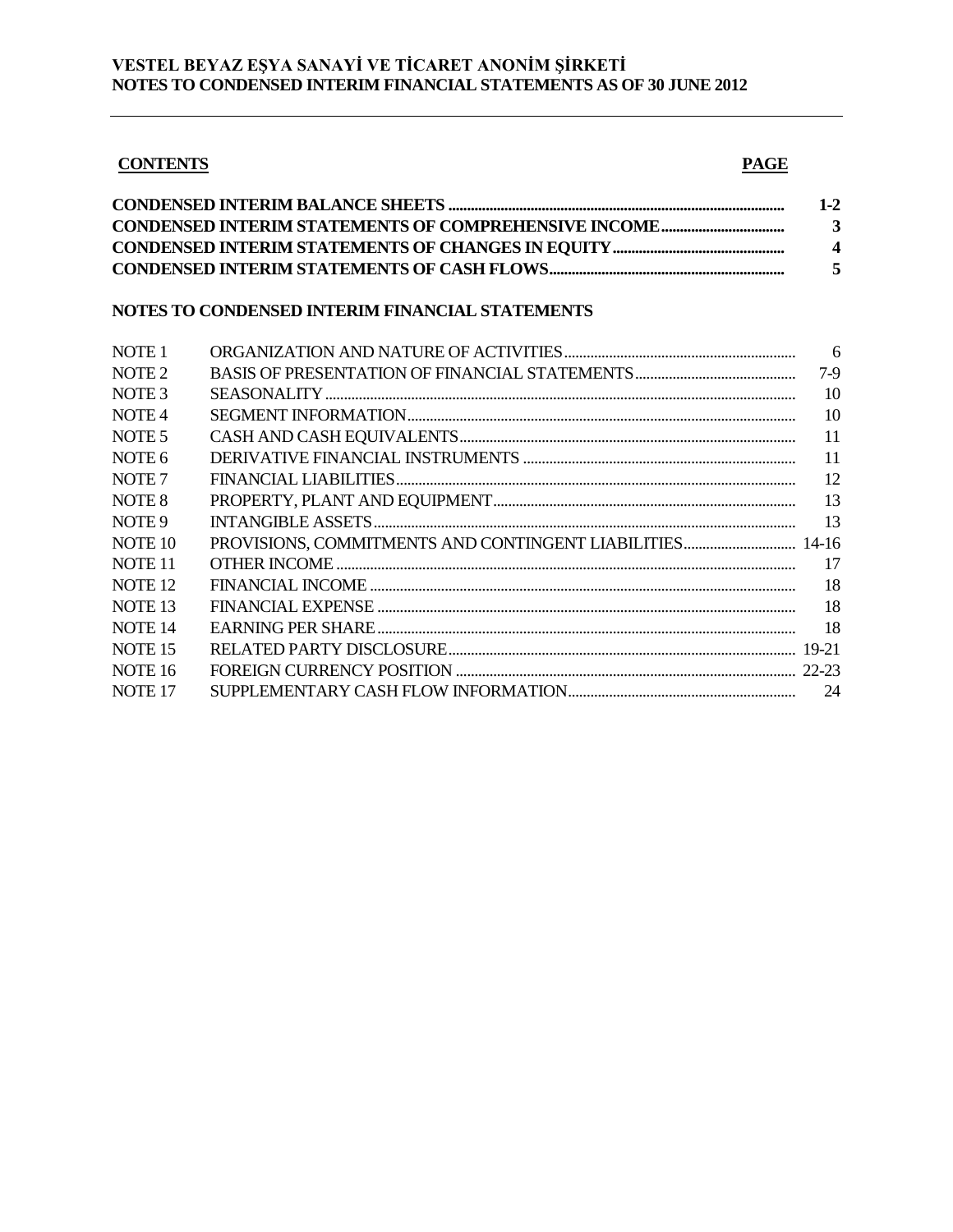## **CONTENTS** PAGE

| $1-2$       |
|-------------|
| 3           |
| $\mathbf 4$ |
|             |

# **NOTES TO CONDENSED INTERIM FINANCIAL STATEMENTS**

| NOTE 1             |                                                          | $6\overline{6}$ |
|--------------------|----------------------------------------------------------|-----------------|
| NOTE <sub>2</sub>  |                                                          | $7-9$           |
| NOTE 3             |                                                          | 10              |
| NOTE 4             |                                                          | 10              |
| NOTE 5             |                                                          | 11              |
| NOTE 6             |                                                          | 11              |
| NOTE 7             |                                                          | 12              |
| NOTE 8             |                                                          | 13              |
| NOTE 9             |                                                          | 13              |
| NOTE 10            | PROVISIONS, COMMITMENTS AND CONTINGENT LIABILITIES 14-16 |                 |
| NOTE 11            |                                                          | 17              |
| NOTE 12            |                                                          | 18              |
| NOTE 13            |                                                          | 18              |
| <b>NOTE 14</b>     |                                                          | 18              |
| <b>NOTE 15</b>     |                                                          |                 |
| NOTE <sub>16</sub> |                                                          |                 |
| <b>NOTE 17</b>     |                                                          |                 |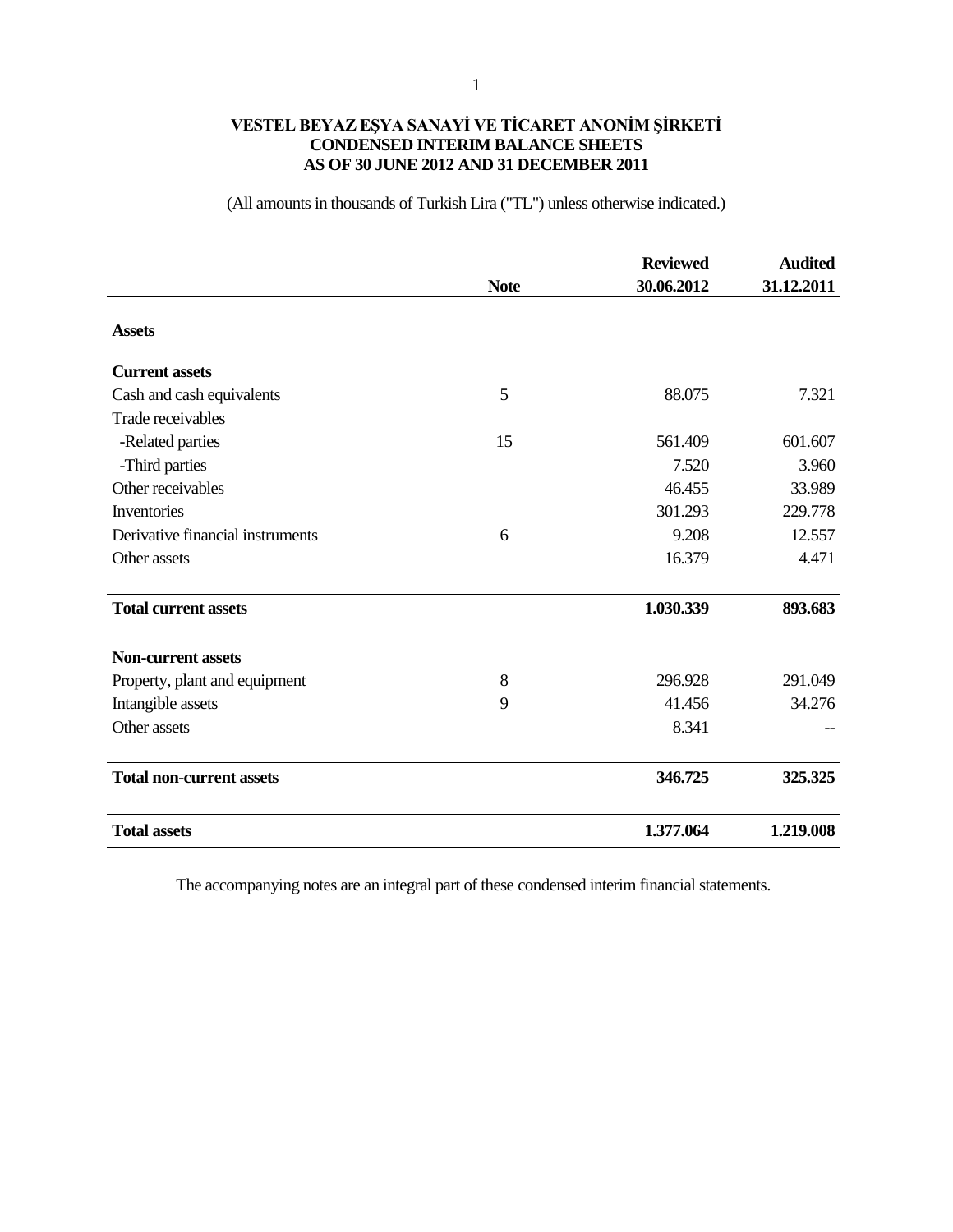# **VESTEL BEYAZ EŞYA SANAYİ VE TİCARET ANONİM ŞİRKETİ CONDENSED INTERIM BALANCE SHEETS AS OF 30 JUNE 2012 AND 31 DECEMBER 2011**

(All amounts in thousands of Turkish Lira ("TL") unless otherwise indicated.)

|                                  |             | <b>Reviewed</b> | <b>Audited</b> |
|----------------------------------|-------------|-----------------|----------------|
|                                  | <b>Note</b> | 30.06.2012      | 31.12.2011     |
| <b>Assets</b>                    |             |                 |                |
| <b>Current assets</b>            |             |                 |                |
| Cash and cash equivalents        | 5           | 88.075          | 7.321          |
| Trade receivables                |             |                 |                |
| -Related parties                 | 15          | 561.409         | 601.607        |
| -Third parties                   |             | 7.520           | 3.960          |
| Other receivables                |             | 46.455          | 33.989         |
| Inventories                      |             | 301.293         | 229.778        |
| Derivative financial instruments | 6           | 9.208           | 12.557         |
| Other assets                     |             | 16.379          | 4.471          |
| <b>Total current assets</b>      |             | 1.030.339       | 893.683        |
| <b>Non-current assets</b>        |             |                 |                |
| Property, plant and equipment    | 8           | 296.928         | 291.049        |
| Intangible assets                | 9           | 41.456          | 34.276         |
| Other assets                     |             | 8.341           |                |
| <b>Total non-current assets</b>  |             | 346.725         | 325.325        |
| <b>Total assets</b>              |             | 1.377.064       | 1.219.008      |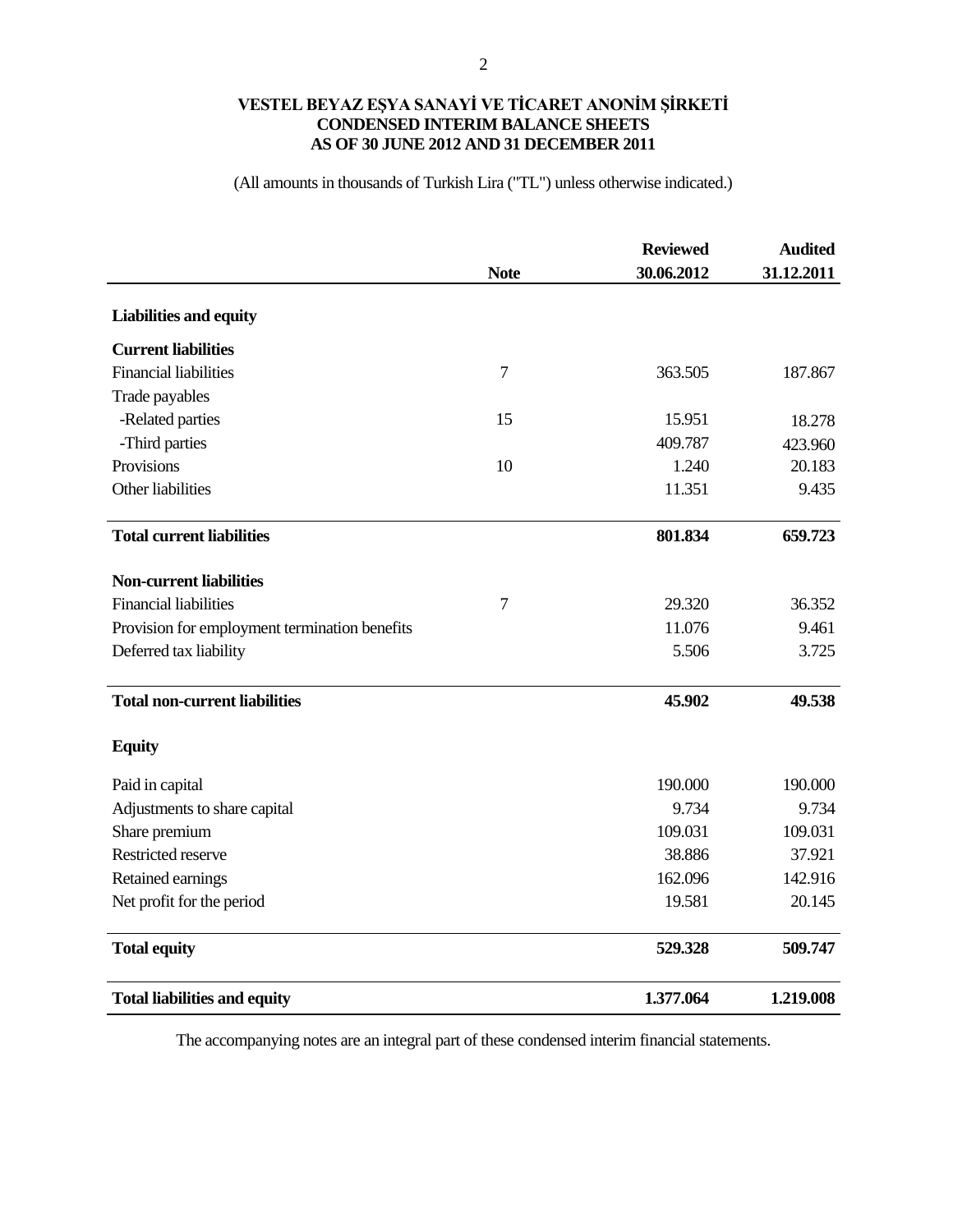#### **VESTEL BEYAZ EŞYA SANAYİ VE TİCARET ANONİM ŞİRKETİ CONDENSED INTERIM BALANCE SHEETS AS OF 30 JUNE 2012 AND 31 DECEMBER 2011**

(All amounts in thousands of Turkish Lira ("TL") unless otherwise indicated.)

|                                               |             | <b>Reviewed</b> | <b>Audited</b> |
|-----------------------------------------------|-------------|-----------------|----------------|
|                                               | <b>Note</b> | 30.06.2012      | 31.12.2011     |
| <b>Liabilities and equity</b>                 |             |                 |                |
| <b>Current liabilities</b>                    |             |                 |                |
| <b>Financial liabilities</b>                  | $\tau$      | 363.505         | 187.867        |
| Trade payables                                |             |                 |                |
| -Related parties                              | 15          | 15.951          | 18.278         |
| -Third parties                                |             | 409.787         | 423.960        |
| Provisions                                    | 10          | 1.240           | 20.183         |
| Other liabilities                             |             | 11.351          | 9.435          |
| <b>Total current liabilities</b>              |             | 801.834         | 659.723        |
| <b>Non-current liabilities</b>                |             |                 |                |
| <b>Financial liabilities</b>                  | $\tau$      | 29.320          | 36.352         |
| Provision for employment termination benefits |             | 11.076          | 9.461          |
| Deferred tax liability                        |             | 5.506           | 3.725          |
| <b>Total non-current liabilities</b>          |             | 45.902          | 49.538         |
| <b>Equity</b>                                 |             |                 |                |
| Paid in capital                               |             | 190.000         | 190.000        |
| Adjustments to share capital                  |             | 9.734           | 9.734          |
| Share premium                                 |             | 109.031         | 109.031        |
| Restricted reserve                            |             | 38.886          | 37.921         |
| Retained earnings                             |             | 162.096         | 142.916        |
| Net profit for the period                     |             | 19.581          | 20.145         |
| <b>Total equity</b>                           |             | 529.328         | 509.747        |
| <b>Total liabilities and equity</b>           |             | 1.377.064       | 1.219.008      |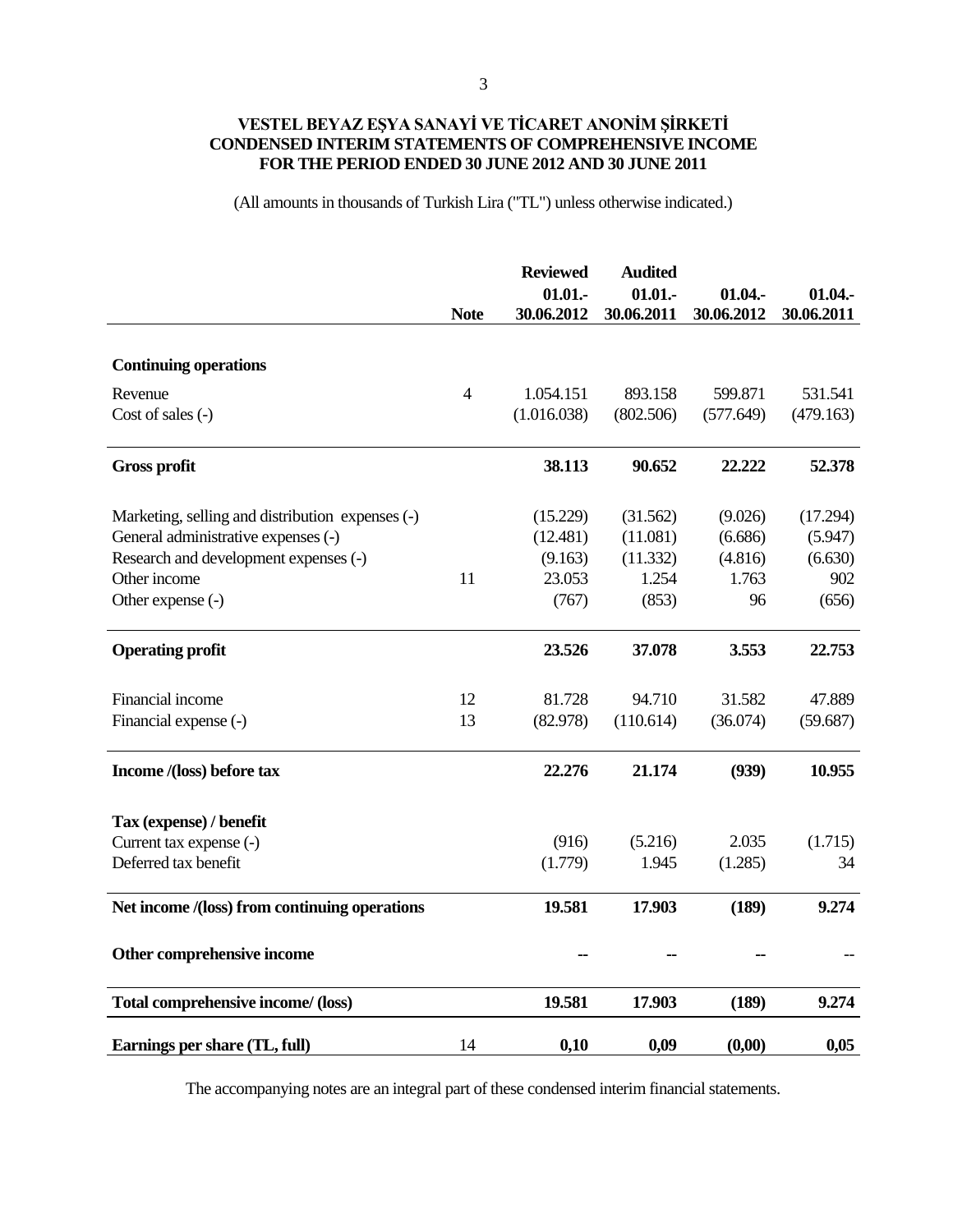# **VESTEL BEYAZ EŞYA SANAYİ VE TİCARET ANONİM ŞİRKETİ CONDENSED INTERIM STATEMENTS OF COMPREHENSIVE INCOME FOR THE PERIOD ENDED 30 JUNE 2012 AND 30 JUNE 2011**

(All amounts in thousands of Turkish Lira ("TL") unless otherwise indicated.)

|                                                  | <b>Note</b> | <b>Reviewed</b><br>$01.01 -$<br>30.06.2012 | <b>Audited</b><br>01.01.<br>30.06.2011 | 01.04.<br>30.06.2012 | 01.04.<br>30.06.2011 |
|--------------------------------------------------|-------------|--------------------------------------------|----------------------------------------|----------------------|----------------------|
|                                                  |             |                                            |                                        |                      |                      |
| <b>Continuing operations</b>                     |             |                                            |                                        |                      |                      |
| Revenue                                          | 4           | 1.054.151                                  | 893.158                                | 599.871              | 531.541              |
| Cost of sales (-)                                |             | (1.016.038)                                | (802.506)                              | (577.649)            | (479.163)            |
| <b>Gross profit</b>                              |             | 38.113                                     | 90.652                                 | 22.222               | 52.378               |
| Marketing, selling and distribution expenses (-) |             | (15.229)                                   | (31.562)                               | (9.026)              | (17.294)             |
| General administrative expenses (-)              |             | (12.481)                                   | (11.081)                               | (6.686)              | (5.947)              |
| Research and development expenses (-)            |             | (9.163)                                    | (11.332)                               | (4.816)              | (6.630)              |
| Other income                                     | 11          | 23.053                                     | 1.254                                  | 1.763                | 902                  |
| Other expense (-)                                |             | (767)                                      | (853)                                  | 96                   | (656)                |
| <b>Operating profit</b>                          |             | 23.526                                     | 37.078                                 | 3.553                | 22.753               |
| Financial income                                 | 12          | 81.728                                     | 94.710                                 | 31.582               | 47.889               |
| Financial expense (-)                            | 13          | (82.978)                                   | (110.614)                              | (36.074)             | (59.687)             |
| Income /(loss) before tax                        |             | 22.276                                     | 21.174                                 | (939)                | 10.955               |
| Tax (expense) / benefit                          |             |                                            |                                        |                      |                      |
| Current tax expense (-)                          |             | (916)                                      | (5.216)                                | 2.035                | (1.715)              |
| Deferred tax benefit                             |             | (1.779)                                    | 1.945                                  | (1.285)              | 34                   |
| Net income /(loss) from continuing operations    |             | 19.581                                     | 17.903                                 | (189)                | 9.274                |
| Other comprehensive income                       |             |                                            |                                        |                      |                      |
| Total comprehensive income/ (loss)               |             | 19.581                                     | 17.903                                 | (189)                | 9.274                |
| Earnings per share (TL, full)                    | 14          | 0,10                                       | 0,09                                   | (0,00)               | 0,05                 |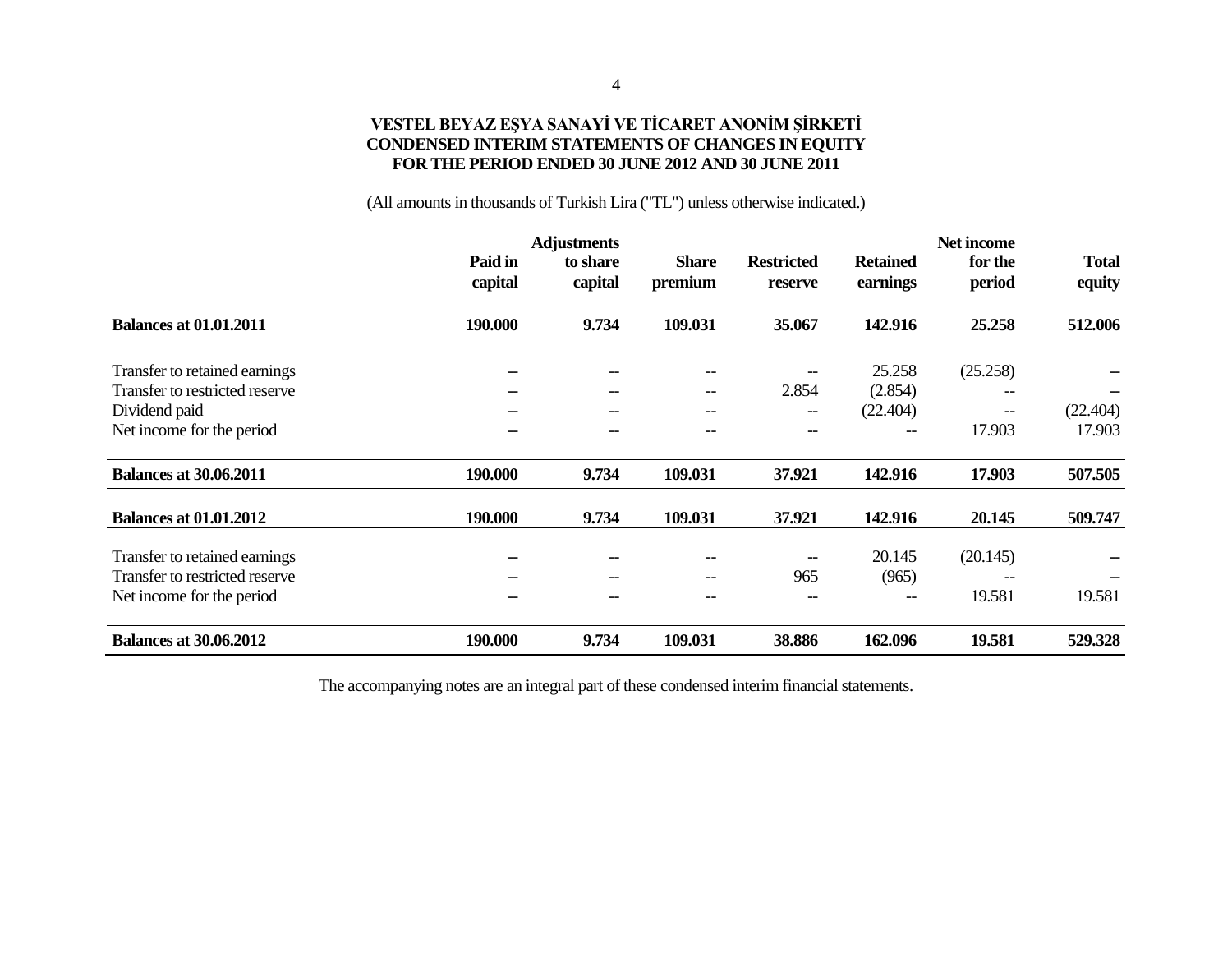#### **VESTEL BEYAZ EŞYA SANAYİ VE TİCARET ANONİM ŞİRKETİ CONDENSED INTERIM STATEMENTS OF CHANGES IN EQUITY FOR THE PERIOD ENDED 30 JUNE 2012 AND 30 JUNE 2011**

(All amounts in thousands of Turkish Lira ("TL") unless otherwise indicated.)

|                                |                    | <b>Adjustments</b>  |                                     |                                       |                             | <b>Net income</b> |                        |
|--------------------------------|--------------------|---------------------|-------------------------------------|---------------------------------------|-----------------------------|-------------------|------------------------|
|                                | Paid in<br>capital | to share<br>capital | <b>Share</b><br>premium             | <b>Restricted</b><br>reserve          | <b>Retained</b><br>earnings | for the<br>period | <b>Total</b><br>equity |
| <b>Balances at 01.01.2011</b>  | 190.000            | 9.734               | 109.031                             | 35.067                                | 142.916                     | 25.258            | 512.006                |
| Transfer to retained earnings  | --                 | --                  | $\hspace{0.05cm}$ $\hspace{0.05cm}$ |                                       | 25.258                      | (25.258)          |                        |
| Transfer to restricted reserve |                    | $-$                 | --                                  | 2.854                                 | (2.854)                     | --                |                        |
| Dividend paid                  |                    | --                  | --                                  | $\qquad \qquad -$                     | (22.404)                    | --                | (22.404)               |
| Net income for the period      |                    | --                  |                                     | $\hspace{0.05cm}$ – $\hspace{0.05cm}$ | --                          | 17.903            | 17.903                 |
| <b>Balances at 30.06.2011</b>  | 190.000            | 9.734               | 109.031                             | 37.921                                | 142.916                     | 17.903            | 507.505                |
| <b>Balances at 01.01.2012</b>  | 190.000            | 9.734               | 109.031                             | 37.921                                | 142.916                     | 20.145            | 509.747                |
| Transfer to retained earnings  | --                 | --                  | $\hspace{0.05cm}$ $\hspace{0.05cm}$ | $\hspace{0.05cm}$ – $\hspace{0.05cm}$ | 20.145                      | (20.145)          |                        |
| Transfer to restricted reserve |                    | $- -$               | $\overline{\phantom{m}}$            | 965                                   | (965)                       |                   |                        |
| Net income for the period      |                    | --                  | --                                  |                                       | --                          | 19.581            | 19.581                 |
| <b>Balances at 30.06.2012</b>  | 190.000            | 9.734               | 109.031                             | 38.886                                | 162.096                     | 19.581            | 529.328                |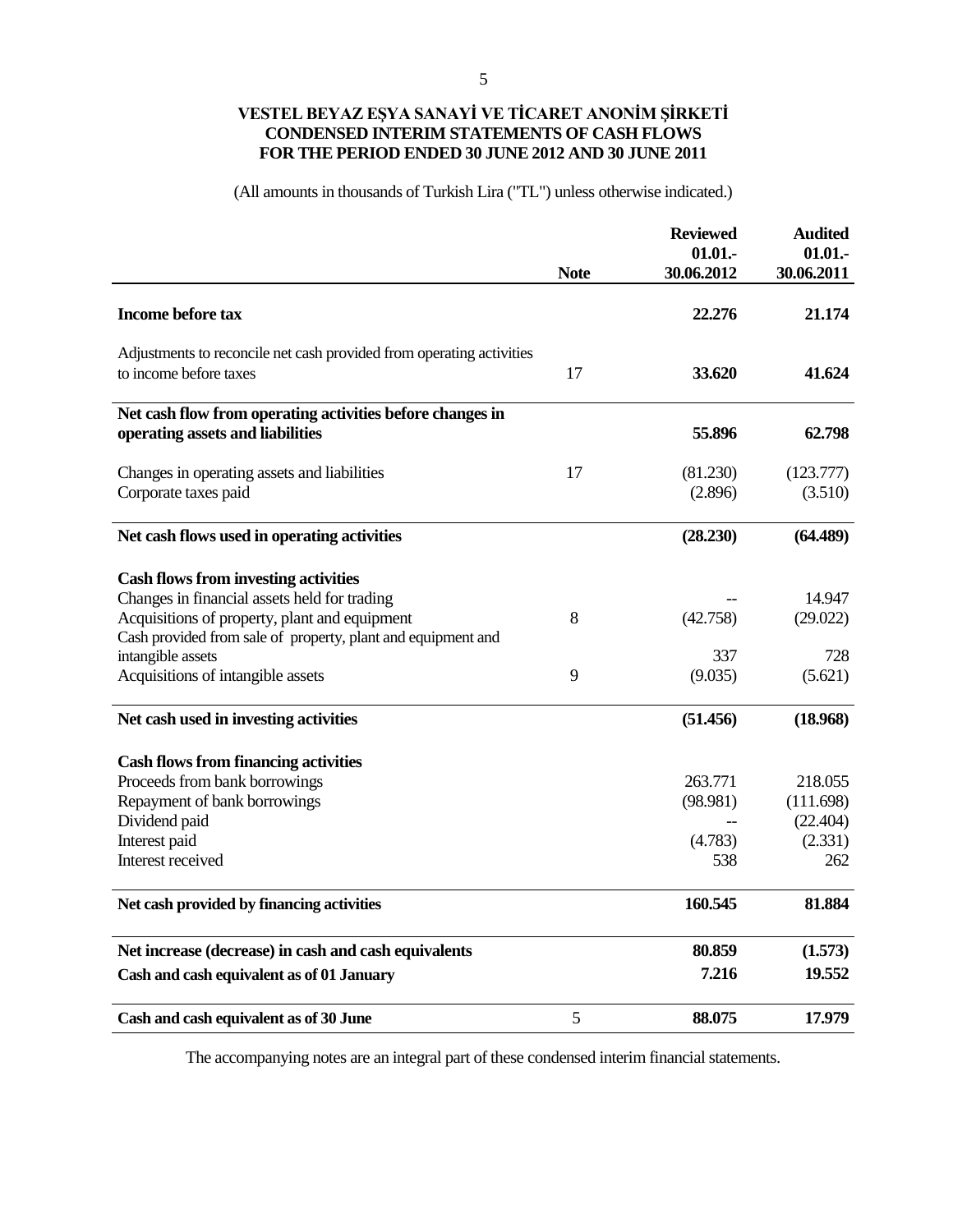# **VESTEL BEYAZ EŞYA SANAYİ VE TİCARET ANONİM ŞİRKETİ CONDENSED INTERIM STATEMENTS OF CASH FLOWS FOR THE PERIOD ENDED 30 JUNE 2012 AND 30 JUNE 2011**

(All amounts in thousands of Turkish Lira ("TL") unless otherwise indicated.)

|                                                                                                                                                                                                              | <b>Note</b> | <b>Reviewed</b><br>01.01.<br>30.06.2012 | <b>Audited</b><br>01.01.<br>30.06.2011 |
|--------------------------------------------------------------------------------------------------------------------------------------------------------------------------------------------------------------|-------------|-----------------------------------------|----------------------------------------|
| <b>Income before tax</b>                                                                                                                                                                                     |             | 22,276                                  | 21.174                                 |
| Adjustments to reconcile net cash provided from operating activities<br>to income before taxes                                                                                                               | 17          | 33.620                                  | 41.624                                 |
| Net cash flow from operating activities before changes in<br>operating assets and liabilities                                                                                                                |             | 55.896                                  | 62.798                                 |
| Changes in operating assets and liabilities<br>Corporate taxes paid                                                                                                                                          | 17          | (81.230)<br>(2.896)                     | (123.777)<br>(3.510)                   |
| Net cash flows used in operating activities                                                                                                                                                                  |             | (28.230)                                | (64.489)                               |
| <b>Cash flows from investing activities</b><br>Changes in financial assets held for trading<br>Acquisitions of property, plant and equipment<br>Cash provided from sale of property, plant and equipment and | 8           | (42.758)                                | 14.947<br>(29.022)                     |
| intangible assets<br>Acquisitions of intangible assets                                                                                                                                                       | 9           | 337<br>(9.035)                          | 728<br>(5.621)                         |
| Net cash used in investing activities                                                                                                                                                                        |             | (51.456)                                | (18.968)                               |
| <b>Cash flows from financing activities</b><br>Proceeds from bank borrowings                                                                                                                                 |             | 263.771                                 | 218.055                                |
| Repayment of bank borrowings<br>Dividend paid                                                                                                                                                                |             | (98.981)                                | (111.698)<br>(22.404)                  |
| Interest paid<br>Interest received                                                                                                                                                                           |             | (4.783)<br>538                          | (2.331)<br>262                         |
| Net cash provided by financing activities                                                                                                                                                                    |             | 160.545                                 | 81.884                                 |
| Net increase (decrease) in cash and cash equivalents                                                                                                                                                         |             | 80.859                                  | (1.573)                                |
| Cash and cash equivalent as of 01 January                                                                                                                                                                    |             | 7.216                                   | 19.552                                 |
| Cash and cash equivalent as of 30 June                                                                                                                                                                       | 5           | 88.075                                  | 17.979                                 |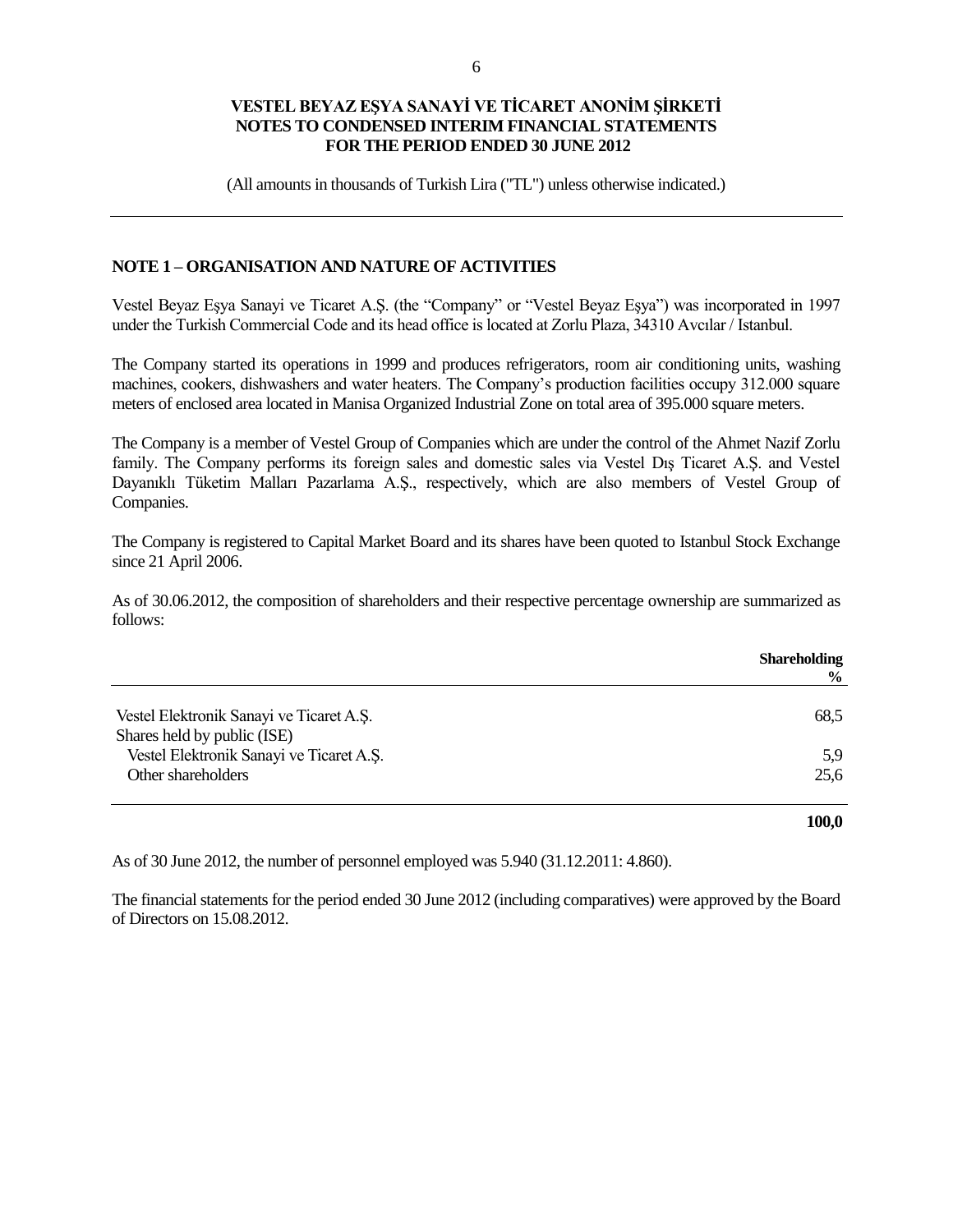(All amounts in thousands of Turkish Lira ("TL") unless otherwise indicated.)

## **NOTE 1 – ORGANISATION AND NATURE OF ACTIVITIES**

Vestel Beyaz Eşya Sanayi ve Ticaret A.Ş. (the "Company" or "Vestel Beyaz Eşya") was incorporated in 1997 under the Turkish Commercial Code and its head office is located at Zorlu Plaza, 34310 Avcılar / Istanbul.

The Company started its operations in 1999 and produces refrigerators, room air conditioning units, washing machines, cookers, dishwashers and water heaters. The Company's production facilities occupy 312.000 square meters of enclosed area located in Manisa Organized Industrial Zone on total area of 395.000 square meters.

The Company is a member of Vestel Group of Companies which are under the control of the Ahmet Nazif Zorlu family. The Company performs its foreign sales and domestic sales via Vestel Dış Ticaret A.Ş. and Vestel Dayanıklı Tüketim Malları Pazarlama A.Ş., respectively, which are also members of Vestel Group of Companies.

The Company is registered to Capital Market Board and its shares have been quoted to Istanbul Stock Exchange since 21 April 2006.

As of 30.06.2012, the composition of shareholders and their respective percentage ownership are summarized as follows:

|                                                                         | <b>Shareholding</b><br>$\frac{6}{9}$ |
|-------------------------------------------------------------------------|--------------------------------------|
| Vestel Elektronik Sanayi ve Ticaret A.S.                                | 68,5                                 |
| Shares held by public (ISE)<br>Vestel Elektronik Sanayi ve Ticaret A.S. | 5,9                                  |
| Other shareholders                                                      | 25,6                                 |
|                                                                         |                                      |

**100,0**

As of 30 June 2012, the number of personnel employed was 5.940 (31.12.2011: 4.860).

The financial statements for the period ended 30 June 2012 (including comparatives) were approved by the Board of Directors on 15.08.2012.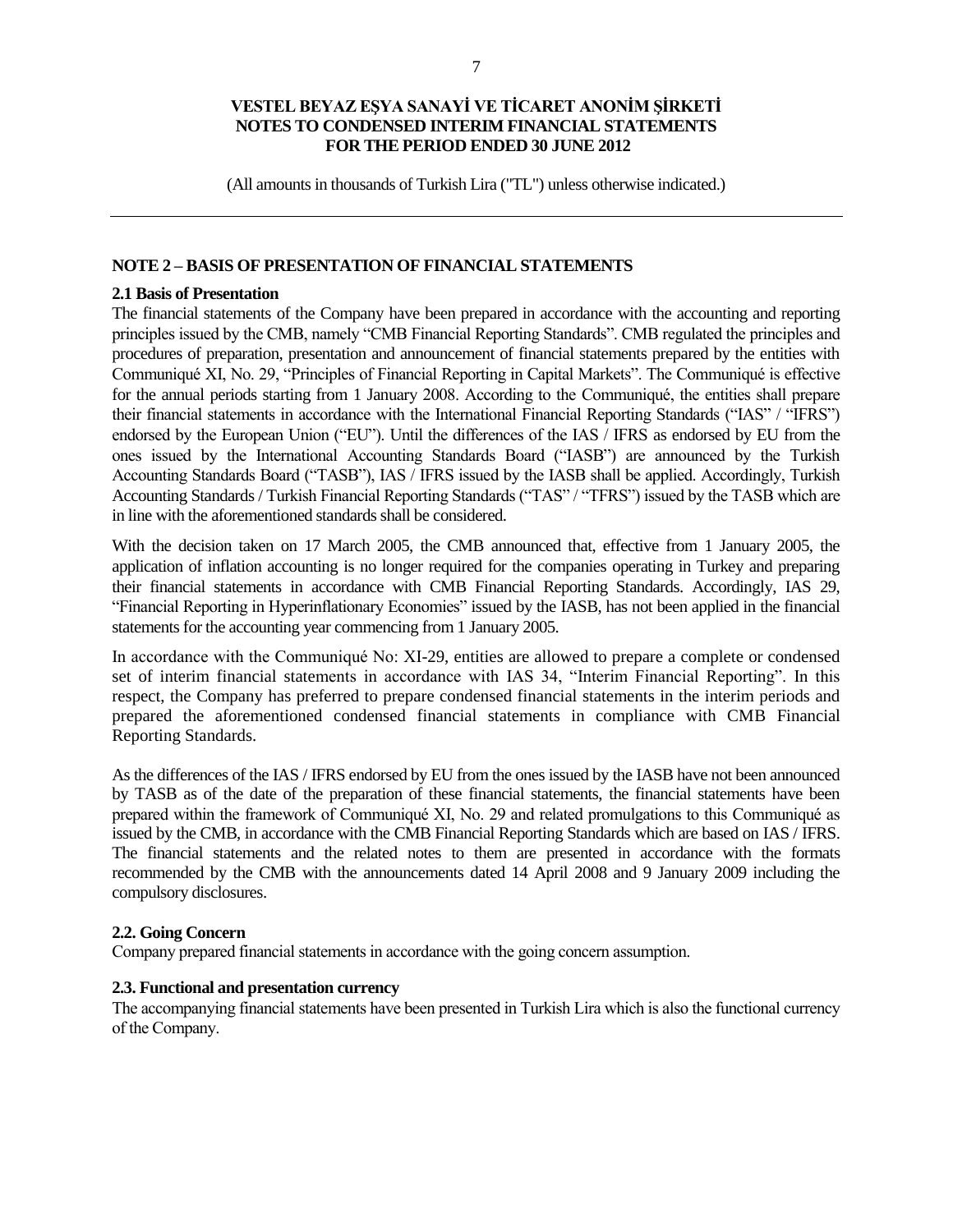(All amounts in thousands of Turkish Lira ("TL") unless otherwise indicated.)

## **NOTE 2 – BASIS OF PRESENTATION OF FINANCIAL STATEMENTS**

#### **2.1 Basis of Presentation**

The financial statements of the Company have been prepared in accordance with the accounting and reporting principles issued by the CMB, namely "CMB Financial Reporting Standards". CMB regulated the principles and procedures of preparation, presentation and announcement of financial statements prepared by the entities with Communiqué XI, No. 29, "Principles of Financial Reporting in Capital Markets". The Communiqué is effective for the annual periods starting from 1 January 2008. According to the Communiqué, the entities shall prepare their financial statements in accordance with the International Financial Reporting Standards ("IAS" / "IFRS") endorsed by the European Union ("EU"). Until the differences of the IAS / IFRS as endorsed by EU from the ones issued by the International Accounting Standards Board ("IASB") are announced by the Turkish Accounting Standards Board ("TASB"), IAS / IFRS issued by the IASB shall be applied. Accordingly, Turkish Accounting Standards / Turkish Financial Reporting Standards ("TAS" / "TFRS") issued by the TASB which are in line with the aforementioned standards shall be considered.

With the decision taken on 17 March 2005, the CMB announced that, effective from 1 January 2005, the application of inflation accounting is no longer required for the companies operating in Turkey and preparing their financial statements in accordance with CMB Financial Reporting Standards. Accordingly, IAS 29, "Financial Reporting in Hyperinflationary Economies" issued by the IASB, has not been applied in the financial statements for the accounting year commencing from 1 January 2005.

In accordance with the Communiqué No: XI-29, entities are allowed to prepare a complete or condensed set of interim financial statements in accordance with IAS 34, "Interim Financial Reporting". In this respect, the Company has preferred to prepare condensed financial statements in the interim periods and prepared the aforementioned condensed financial statements in compliance with CMB Financial Reporting Standards.

As the differences of the IAS / IFRS endorsed by EU from the ones issued by the IASB have not been announced by TASB as of the date of the preparation of these financial statements, the financial statements have been prepared within the framework of Communiqué XI, No. 29 and related promulgations to this Communiqué as issued by the CMB, in accordance with the CMB Financial Reporting Standards which are based on IAS / IFRS. The financial statements and the related notes to them are presented in accordance with the formats recommended by the CMB with the announcements dated 14 April 2008 and 9 January 2009 including the compulsory disclosures.

## **2.2. Going Concern**

Company prepared financial statements in accordance with the going concern assumption.

#### **2.3. Functional and presentation currency**

The accompanying financial statements have been presented in Turkish Lira which is also the functional currency of the Company.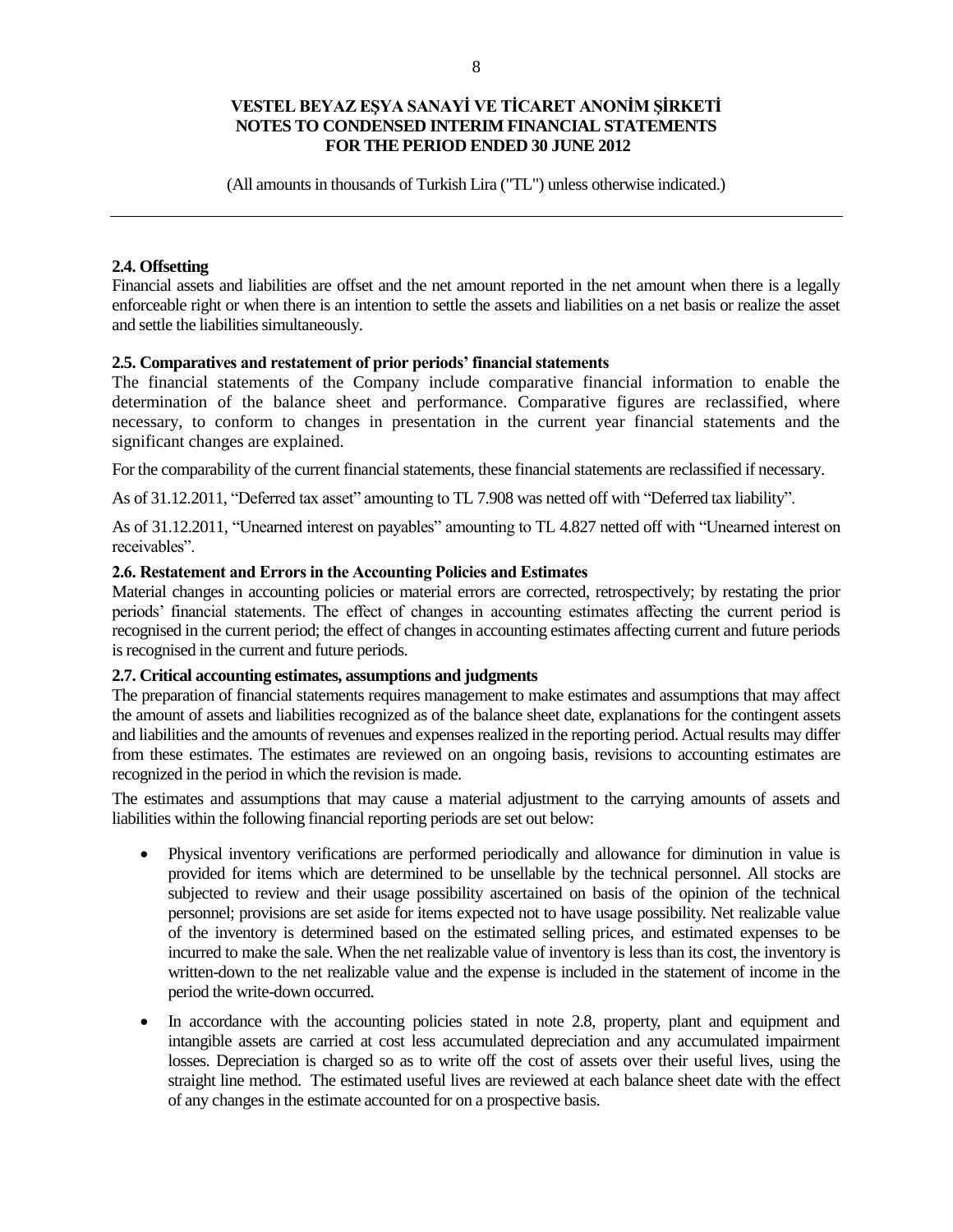(All amounts in thousands of Turkish Lira ("TL") unless otherwise indicated.)

## **2.4. Offsetting**

Financial assets and liabilities are offset and the net amount reported in the net amount when there is a legally enforceable right or when there is an intention to settle the assets and liabilities on a net basis or realize the asset and settle the liabilities simultaneously.

#### **2.5. Comparatives and restatement of prior periods' financial statements**

The financial statements of the Company include comparative financial information to enable the determination of the balance sheet and performance. Comparative figures are reclassified, where necessary, to conform to changes in presentation in the current year financial statements and the significant changes are explained.

For the comparability of the current financial statements, these financial statements are reclassified if necessary.

As of 31.12.2011, "Deferred tax asset" amounting to TL 7.908 was netted off with "Deferred tax liability".

As of 31.12.2011, "Unearned interest on payables" amounting to TL 4.827 netted off with "Unearned interest on receivables".

## **2.6. Restatement and Errors in the Accounting Policies and Estimates**

Material changes in accounting policies or material errors are corrected, retrospectively; by restating the prior periods' financial statements. The effect of changes in accounting estimates affecting the current period is recognised in the current period; the effect of changes in accounting estimates affecting current and future periods is recognised in the current and future periods.

## **2.7. Critical accounting estimates, assumptions and judgments**

The preparation of financial statements requires management to make estimates and assumptions that may affect the amount of assets and liabilities recognized as of the balance sheet date, explanations for the contingent assets and liabilities and the amounts of revenues and expenses realized in the reporting period. Actual results may differ from these estimates. The estimates are reviewed on an ongoing basis, revisions to accounting estimates are recognized in the period in which the revision is made.

The estimates and assumptions that may cause a material adjustment to the carrying amounts of assets and liabilities within the following financial reporting periods are set out below:

- Physical inventory verifications are performed periodically and allowance for diminution in value is provided for items which are determined to be unsellable by the technical personnel. All stocks are subjected to review and their usage possibility ascertained on basis of the opinion of the technical personnel; provisions are set aside for items expected not to have usage possibility. Net realizable value of the inventory is determined based on the estimated selling prices, and estimated expenses to be incurred to make the sale. When the net realizable value of inventory is less than its cost, the inventory is written-down to the net realizable value and the expense is included in the statement of income in the period the write-down occurred.
- In accordance with the accounting policies stated in note 2.8, property, plant and equipment and intangible assets are carried at cost less accumulated depreciation and any accumulated impairment losses. Depreciation is charged so as to write off the cost of assets over their useful lives, using the straight line method. The estimated useful lives are reviewed at each balance sheet date with the effect of any changes in the estimate accounted for on a prospective basis.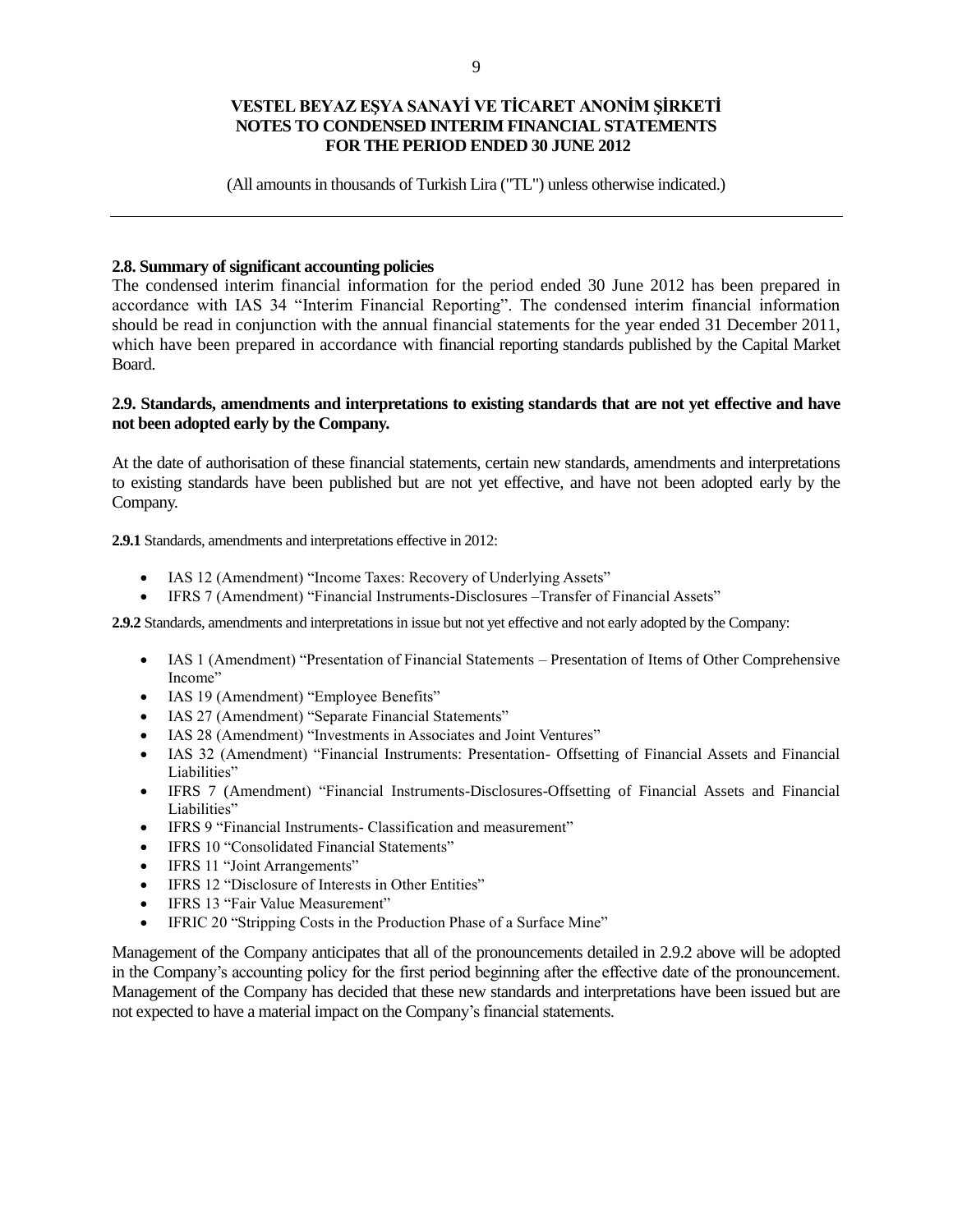(All amounts in thousands of Turkish Lira ("TL") unless otherwise indicated.)

#### **2.8. Summary of significant accounting policies**

The condensed interim financial information for the period ended 30 June 2012 has been prepared in accordance with IAS 34 "Interim Financial Reporting". The condensed interim financial information should be read in conjunction with the annual financial statements for the year ended 31 December 2011, which have been prepared in accordance with financial reporting standards published by the Capital Market Board.

#### **2.9. Standards, amendments and interpretations to existing standards that are not yet effective and have not been adopted early by the Company.**

At the date of authorisation of these financial statements, certain new standards, amendments and interpretations to existing standards have been published but are not yet effective, and have not been adopted early by the Company.

**2.9.1** Standards, amendments and interpretations effective in 2012:

- IAS 12 (Amendment) "Income Taxes: Recovery of Underlying Assets"
- IFRS 7 (Amendment) "Financial Instruments-Disclosures –Transfer of Financial Assets"

**2.9.2** Standards, amendments and interpretations in issue but not yet effective and not early adopted by the Company:

- IAS 1 (Amendment) "Presentation of Financial Statements Presentation of Items of Other Comprehensive Income"
- IAS 19 (Amendment) "Employee Benefits"
- IAS 27 (Amendment) "Separate Financial Statements"
- IAS 28 (Amendment) "Investments in Associates and Joint Ventures"
- IAS 32 (Amendment) "Financial Instruments: Presentation- Offsetting of Financial Assets and Financial Liabilities"
- IFRS 7 (Amendment) "Financial Instruments-Disclosures-Offsetting of Financial Assets and Financial Liabilities"
- IFRS 9 "Financial Instruments- Classification and measurement"
- IFRS 10 "Consolidated Financial Statements"
- IFRS 11 "Joint Arrangements"
- IFRS 12 "Disclosure of Interests in Other Entities"
- IFRS 13 "Fair Value Measurement"
- IFRIC 20 "Stripping Costs in the Production Phase of a Surface Mine"

Management of the Company anticipates that all of the pronouncements detailed in 2.9.2 above will be adopted in the Company's accounting policy for the first period beginning after the effective date of the pronouncement. Management of the Company has decided that these new standards and interpretations have been issued but are not expected to have a material impact on the Company's financial statements.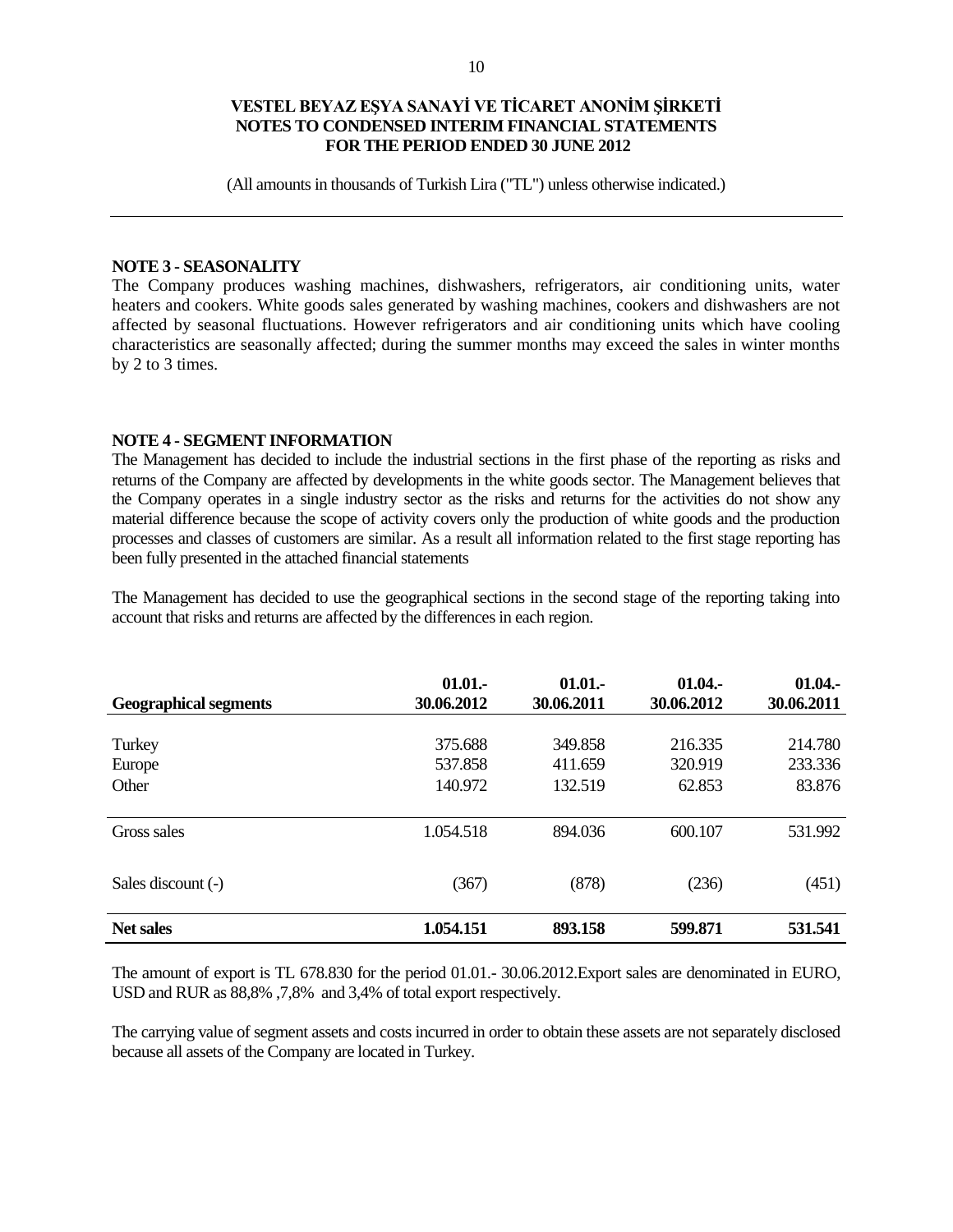(All amounts in thousands of Turkish Lira ("TL") unless otherwise indicated.)

#### **NOTE 3 - SEASONALITY**

The Company produces washing machines, dishwashers, refrigerators, air conditioning units, water heaters and cookers. White goods sales generated by washing machines, cookers and dishwashers are not affected by seasonal fluctuations. However refrigerators and air conditioning units which have cooling characteristics are seasonally affected; during the summer months may exceed the sales in winter months by 2 to 3 times.

#### **NOTE 4 - SEGMENT INFORMATION**

The Management has decided to include the industrial sections in the first phase of the reporting as risks and returns of the Company are affected by developments in the white goods sector. The Management believes that the Company operates in a single industry sector as the risks and returns for the activities do not show any material difference because the scope of activity covers only the production of white goods and the production processes and classes of customers are similar. As a result all information related to the first stage reporting has been fully presented in the attached financial statements

The Management has decided to use the geographical sections in the second stage of the reporting taking into account that risks and returns are affected by the differences in each region.

| <b>Geographical segments</b> | 01.01.<br>30.06.2012          | 01.01.<br>30.06.2011          | 01.04.<br>30.06.2012         | 01.04.<br>30.06.2011         |
|------------------------------|-------------------------------|-------------------------------|------------------------------|------------------------------|
| Turkey<br>Europe<br>Other    | 375.688<br>537.858<br>140.972 | 349.858<br>411.659<br>132.519 | 216.335<br>320.919<br>62.853 | 214.780<br>233.336<br>83.876 |
| Gross sales                  | 1.054.518                     | 894.036                       | 600.107                      | 531.992                      |
| Sales discount (-)           | (367)                         | (878)                         | (236)                        | (451)                        |
| <b>Net sales</b>             | 1.054.151                     | 893.158                       | 599.871                      | 531.541                      |

The amount of export is TL 678.830 for the period 01.01.- 30.06.2012.Export sales are denominated in EURO, USD and RUR as 88,8% ,7,8% and 3,4% of total export respectively.

The carrying value of segment assets and costs incurred in order to obtain these assets are not separately disclosed because all assets of the Company are located in Turkey.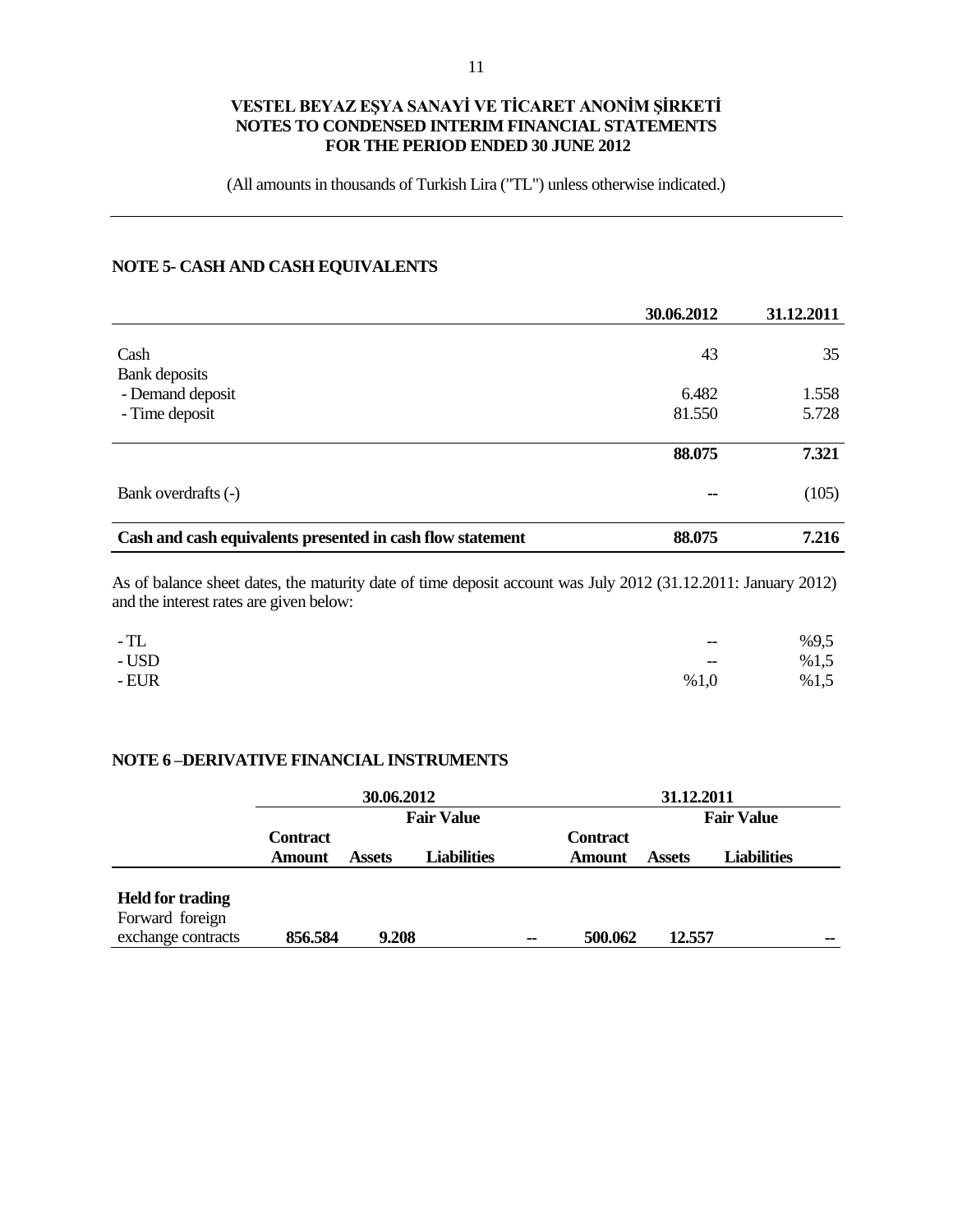(All amounts in thousands of Turkish Lira ("TL") unless otherwise indicated.)

# **NOTE 5- CASH AND CASH EQUIVALENTS**

|                                                            | 30.06.2012 | 31.12.2011 |
|------------------------------------------------------------|------------|------------|
|                                                            |            |            |
| Cash                                                       | 43         | 35         |
| Bank deposits                                              |            |            |
| - Demand deposit                                           | 6.482      | 1.558      |
| - Time deposit                                             | 81.550     | 5.728      |
|                                                            |            |            |
|                                                            | 88.075     | 7.321      |
| Bank overdrafts (-)                                        | --         | (105)      |
| Cash and cash equivalents presented in cash flow statement | 88.075     | 7.216      |

As of balance sheet dates, the maturity date of time deposit account was July 2012 (31.12.2011: January 2012) and the interest rates are given below:

| $-TL$  | $-\!$                                               | %9,5 |
|--------|-----------------------------------------------------|------|
| - USD  | $\hspace{0.05cm} -\hspace{0.05cm} -\hspace{0.05cm}$ | %1,5 |
| $-EUR$ | %1,0                                                | %1,5 |

#### **NOTE 6 –DERIVATIVE FINANCIAL INSTRUMENTS**

|                                                                  | 30.06.2012                       |               |                    |    |                                  | 31.12.2011        |                    |    |
|------------------------------------------------------------------|----------------------------------|---------------|--------------------|----|----------------------------------|-------------------|--------------------|----|
|                                                                  | <b>Fair Value</b>                |               |                    |    |                                  | <b>Fair Value</b> |                    |    |
|                                                                  | <b>Contract</b><br><b>Amount</b> | <b>Assets</b> | <b>Liabilities</b> |    | <b>Contract</b><br><b>Amount</b> | <b>Assets</b>     | <b>Liabilities</b> |    |
| <b>Held for trading</b><br>Forward foreign<br>exchange contracts | 856.584                          | 9.208         |                    | -- | 500.062                          | 12.557            |                    | -- |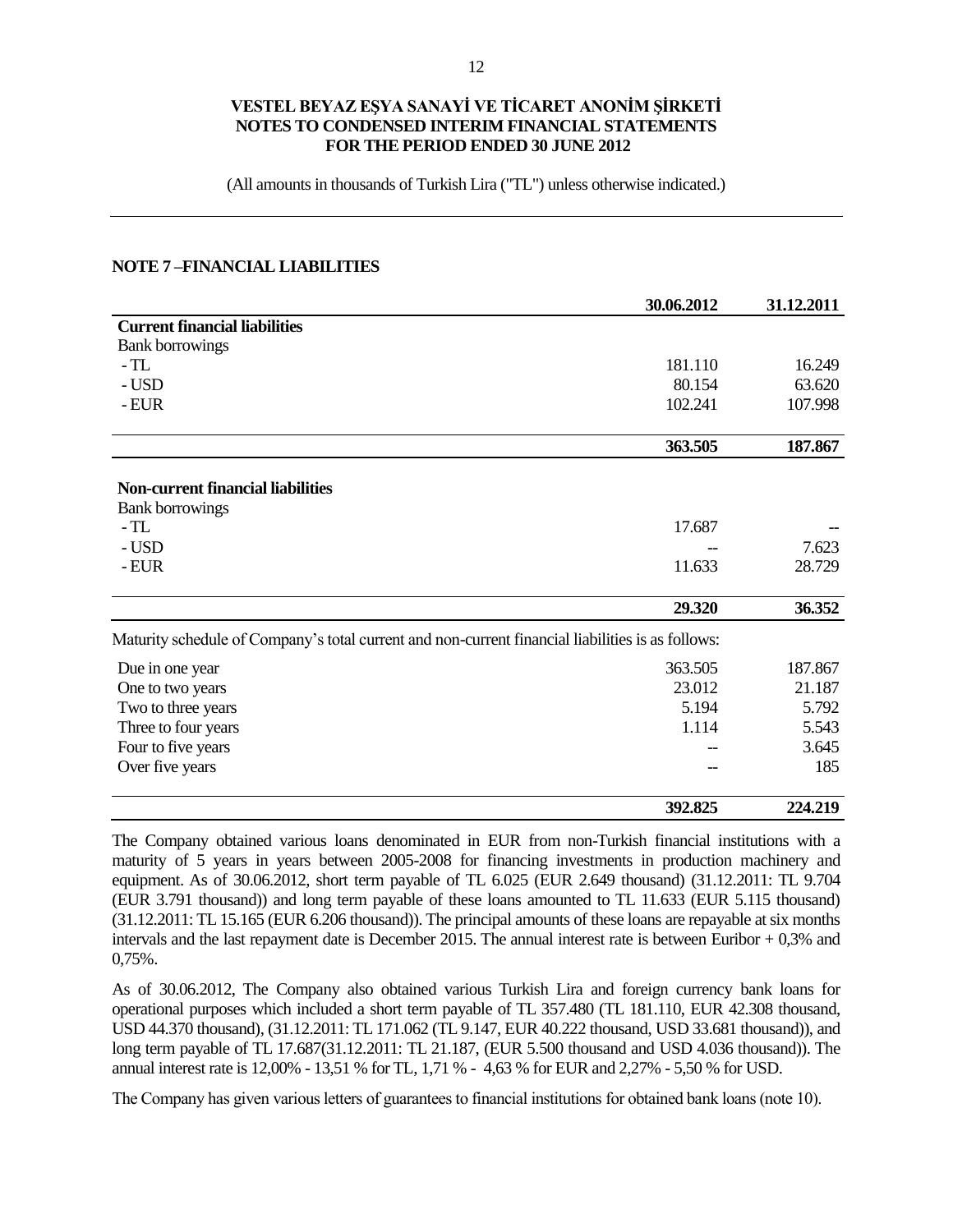(All amounts in thousands of Turkish Lira ("TL") unless otherwise indicated.)

#### **NOTE 7 –FINANCIAL LIABILITIES**

|                                                                                                   | 30.06.2012 | 31.12.2011 |
|---------------------------------------------------------------------------------------------------|------------|------------|
| <b>Current financial liabilities</b>                                                              |            |            |
| <b>Bank borrowings</b>                                                                            |            |            |
| $-TL$                                                                                             | 181.110    | 16.249     |
| - USD                                                                                             | 80.154     | 63.620     |
| - EUR                                                                                             | 102.241    | 107.998    |
|                                                                                                   | 363.505    | 187.867    |
| <b>Non-current financial liabilities</b>                                                          |            |            |
| <b>Bank borrowings</b>                                                                            |            |            |
| $-TL$                                                                                             | 17.687     |            |
| - USD                                                                                             |            | 7.623      |
| - EUR                                                                                             | 11.633     | 28.729     |
|                                                                                                   | 29.320     | 36.352     |
| Maturity schedule of Company's total current and non-current financial liabilities is as follows: |            |            |
| Due in one year                                                                                   | 363.505    | 187.867    |
| One to two years                                                                                  | 23.012     | 21.187     |
| Two to three years                                                                                | 5.194      | 5.792      |
| Three to four years                                                                               | 1.114      | 5.543      |
| Four to five years                                                                                |            | 3.645      |
| Over five years                                                                                   |            | 185        |
|                                                                                                   | 392.825    | 224,219    |

The Company obtained various loans denominated in EUR from non-Turkish financial institutions with a maturity of 5 years in years between 2005-2008 for financing investments in production machinery and equipment. As of 30.06.2012, short term payable of TL 6.025 (EUR 2.649 thousand) (31.12.2011: TL 9.704 (EUR 3.791 thousand)) and long term payable of these loans amounted to TL 11.633 (EUR 5.115 thousand) (31.12.2011: TL 15.165 (EUR 6.206 thousand)). The principal amounts of these loans are repayable at six months intervals and the last repayment date is December 2015. The annual interest rate is between Euribor + 0,3% and 0,75%.

As of 30.06.2012, The Company also obtained various Turkish Lira and foreign currency bank loans for operational purposes which included a short term payable of TL 357.480 (TL 181.110, EUR 42.308 thousand, USD 44.370 thousand), (31.12.2011: TL 171.062 (TL 9.147, EUR 40.222 thousand, USD 33.681 thousand)), and long term payable of TL 17.687(31.12.2011: TL 21.187, (EUR 5.500 thousand and USD 4.036 thousand)). The annual interest rate is 12,00% - 13,51 % for TL, 1,71 % - 4,63 % for EUR and 2,27% - 5,50 % for USD.

The Company has given various letters of guarantees to financial institutions for obtained bank loans (note 10).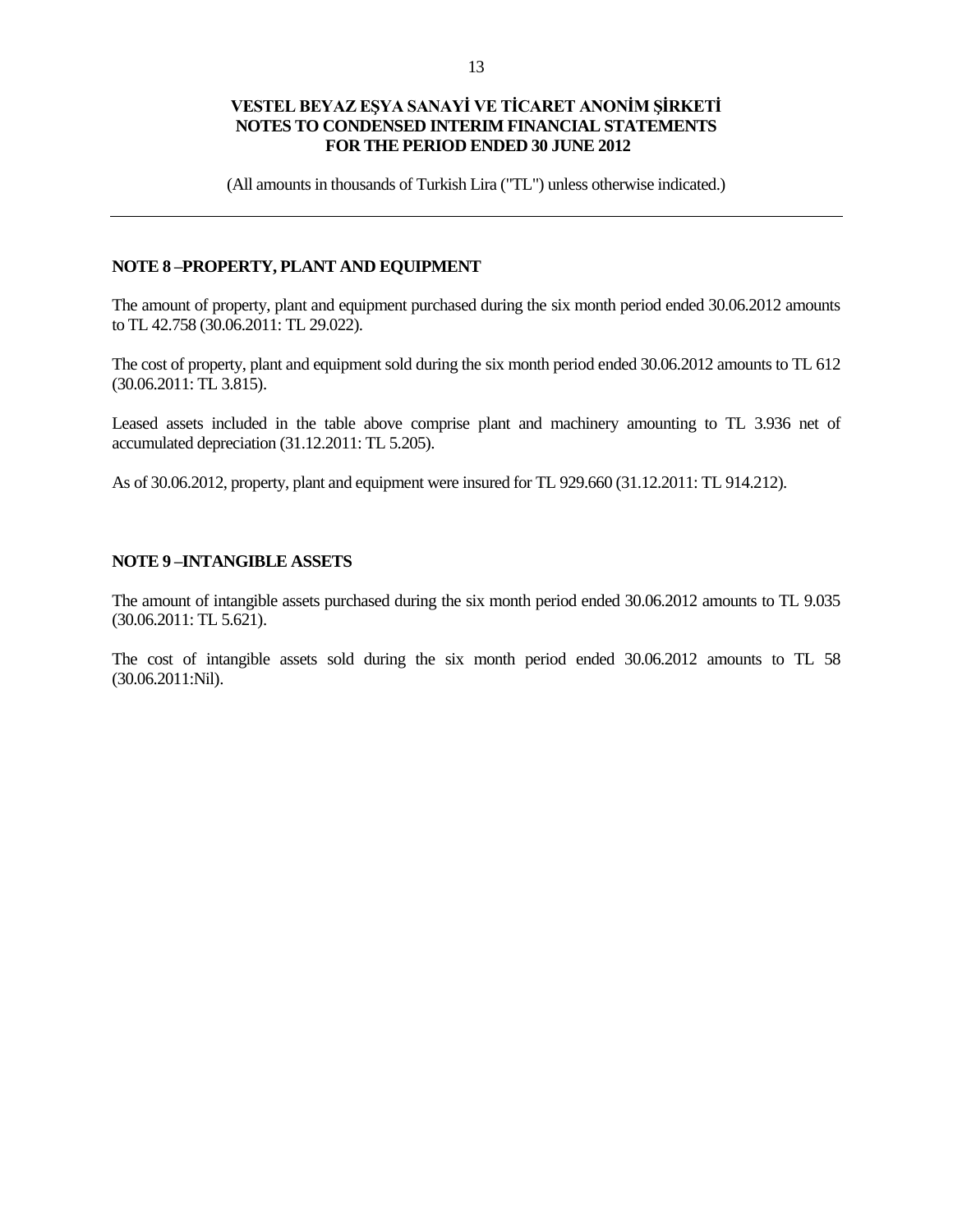(All amounts in thousands of Turkish Lira ("TL") unless otherwise indicated.)

#### **NOTE 8 –PROPERTY, PLANT AND EQUIPMENT**

The amount of property, plant and equipment purchased during the six month period ended 30.06.2012 amounts to TL 42.758 (30.06.2011: TL 29.022).

The cost of property, plant and equipment sold during the six month period ended 30.06.2012 amounts to TL 612 (30.06.2011: TL 3.815).

Leased assets included in the table above comprise plant and machinery amounting to TL 3.936 net of accumulated depreciation (31.12.2011: TL 5.205).

As of 30.06.2012, property, plant and equipment were insured for TL 929.660 (31.12.2011: TL 914.212).

#### **NOTE 9 –INTANGIBLE ASSETS**

The amount of intangible assets purchased during the six month period ended 30.06.2012 amounts to TL 9.035 (30.06.2011: TL 5.621).

The cost of intangible assets sold during the six month period ended 30.06.2012 amounts to TL 58 (30.06.2011:Nil).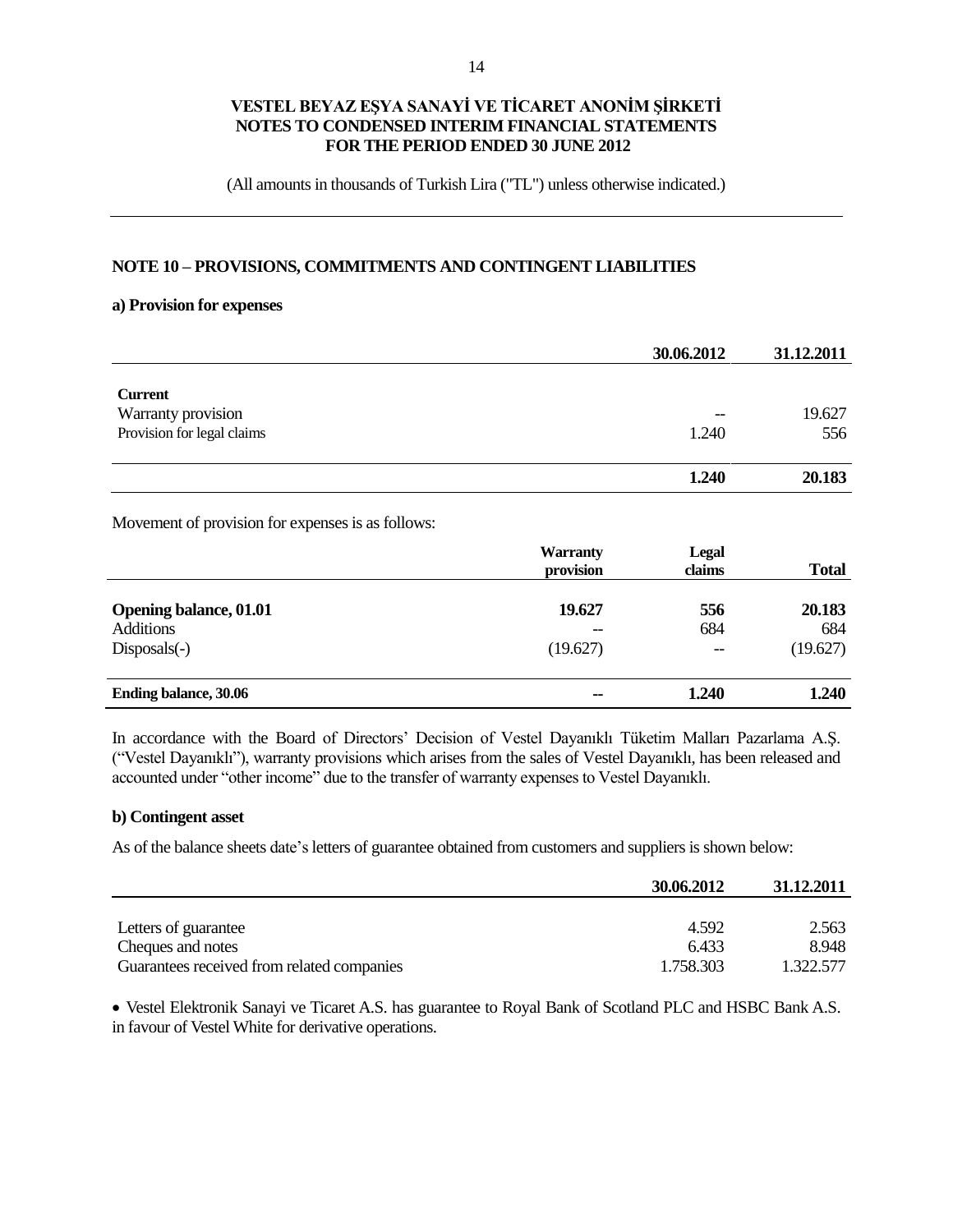(All amounts in thousands of Turkish Lira ("TL") unless otherwise indicated.)

#### **NOTE 10 – PROVISIONS, COMMITMENTS AND CONTINGENT LIABILITIES**

#### **a) Provision for expenses**

|                            | 30.06.2012 | 31.12.2011 |
|----------------------------|------------|------------|
|                            |            |            |
| <b>Current</b>             |            |            |
| Warranty provision         | --         | 19.627     |
| Provision for legal claims | 1.240      | 556        |
|                            |            |            |
|                            | 1.240      | 20.183     |

Movement of provision for expenses is as follows:

|                                                   | <b>Warranty</b><br>provision | <b>Legal</b><br>claims | <b>Total</b>  |
|---------------------------------------------------|------------------------------|------------------------|---------------|
| <b>Opening balance, 01.01</b><br><b>Additions</b> | 19.627<br>--                 | 556<br>684             | 20.183<br>684 |
| $Disposals(-)$                                    | (19.627)                     | $- -$                  | (19.627)      |
| <b>Ending balance, 30.06</b>                      | $\sim$                       | 1.240                  | 1.240         |

In accordance with the Board of Directors' Decision of Vestel Dayanıklı Tüketim Malları Pazarlama A.Ş. ("Vestel Dayanıklı"), warranty provisions which arises from the sales of Vestel Dayanıklı, has been released and accounted under "other income" due to the transfer of warranty expenses to Vestel Dayanıklı.

#### **b) Contingent asset**

As of the balance sheets date's letters of guarantee obtained from customers and suppliers is shown below:

|                                            | 30.06.2012 | 31.12.2011 |
|--------------------------------------------|------------|------------|
|                                            |            |            |
| Letters of guarantee                       | 4.592      | 2.563      |
| Cheques and notes                          | 6.433      | 8.948      |
| Guarantees received from related companies | 1.758.303  | 1.322.577  |

 Vestel Elektronik Sanayi ve Ticaret A.S. has guarantee to Royal Bank of Scotland PLC and HSBC Bank A.S. in favour of Vestel White for derivative operations.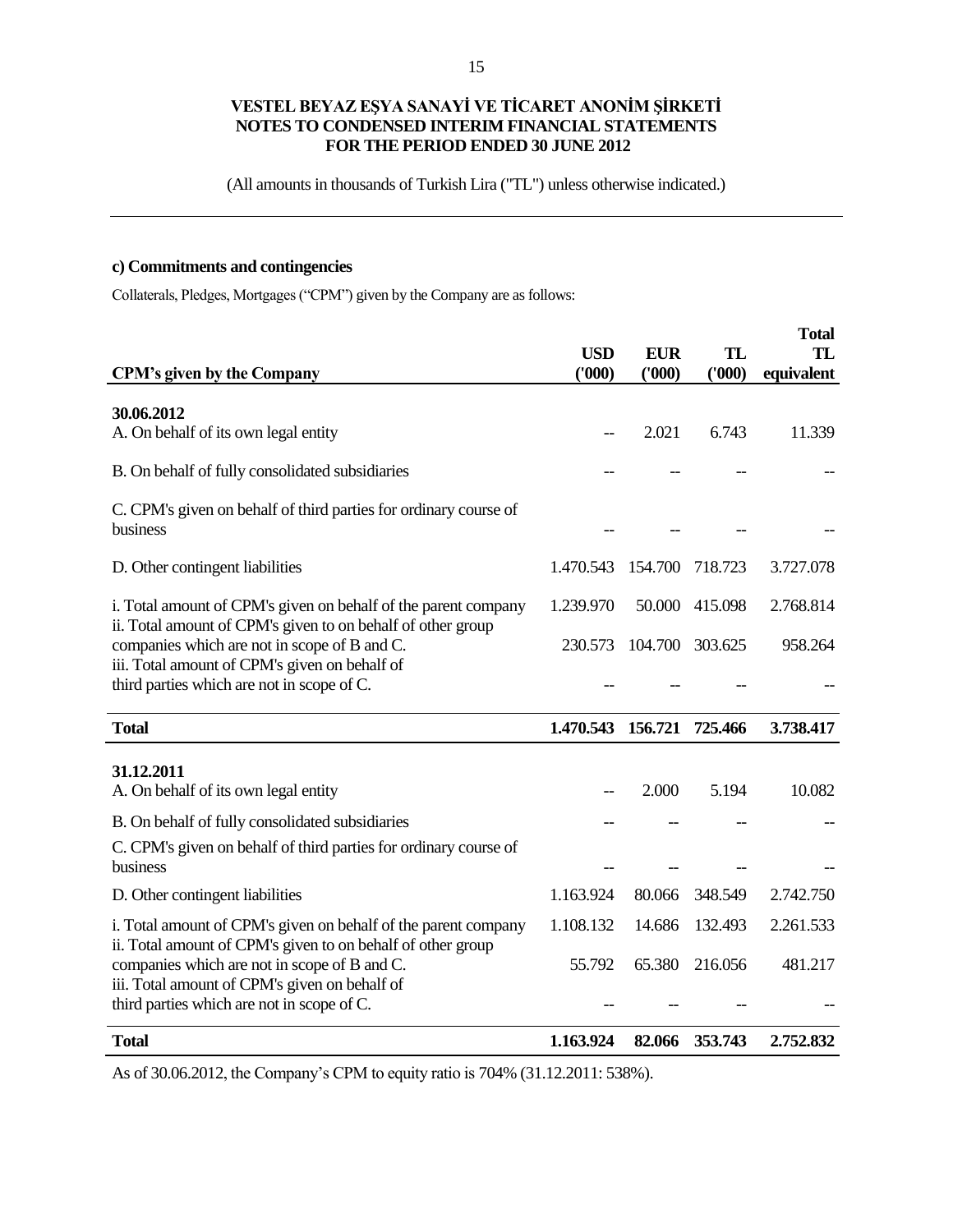(All amounts in thousands of Turkish Lira ("TL") unless otherwise indicated.)

# **c) Commitments and contingencies**

Collaterals, Pledges, Mortgages ("CPM") given by the Company are as follows:

| <b>CPM's given by the Company</b>                                                                                                           | <b>USD</b><br>(000) | <b>EUR</b><br>(000) | TL<br>(000) | <b>Total</b><br>TL<br>equivalent |
|---------------------------------------------------------------------------------------------------------------------------------------------|---------------------|---------------------|-------------|----------------------------------|
| 30.06.2012<br>A. On behalf of its own legal entity                                                                                          |                     | 2.021               | 6.743       | 11.339                           |
| B. On behalf of fully consolidated subsidiaries                                                                                             |                     |                     |             |                                  |
| C. CPM's given on behalf of third parties for ordinary course of<br>business                                                                |                     |                     |             |                                  |
| D. Other contingent liabilities                                                                                                             | 1.470.543           | 154.700             | 718.723     | 3.727.078                        |
| i. Total amount of CPM's given on behalf of the parent company<br>ii. Total amount of CPM's given to on behalf of other group               | 1.239.970           | 50.000              | 415.098     | 2.768.814                        |
| companies which are not in scope of B and C.<br>iii. Total amount of CPM's given on behalf of                                               | 230.573             | 104.700             | 303.625     | 958.264                          |
| third parties which are not in scope of C.                                                                                                  |                     |                     |             |                                  |
| <b>Total</b>                                                                                                                                | 1.470.543           | 156.721             | 725.466     | 3.738.417                        |
| 31.12.2011<br>A. On behalf of its own legal entity                                                                                          |                     | 2.000               | 5.194       | 10.082                           |
| B. On behalf of fully consolidated subsidiaries                                                                                             |                     |                     |             |                                  |
| C. CPM's given on behalf of third parties for ordinary course of<br>business                                                                |                     |                     |             |                                  |
| D. Other contingent liabilities                                                                                                             | 1.163.924           | 80.066              | 348.549     | 2.742.750                        |
| i. Total amount of CPM's given on behalf of the parent company<br>ii. Total amount of CPM's given to on behalf of other group               | 1.108.132           | 14.686              | 132.493     | 2.261.533                        |
| companies which are not in scope of B and C.<br>iii. Total amount of CPM's given on behalf of<br>third parties which are not in scope of C. | 55.792              | 65.380              | 216.056     | 481.217                          |
| <b>Total</b>                                                                                                                                | 1.163.924           | 82.066              | 353.743     | 2.752.832                        |

As of 30.06.2012, the Company's CPM to equity ratio is 704% (31.12.2011: 538%).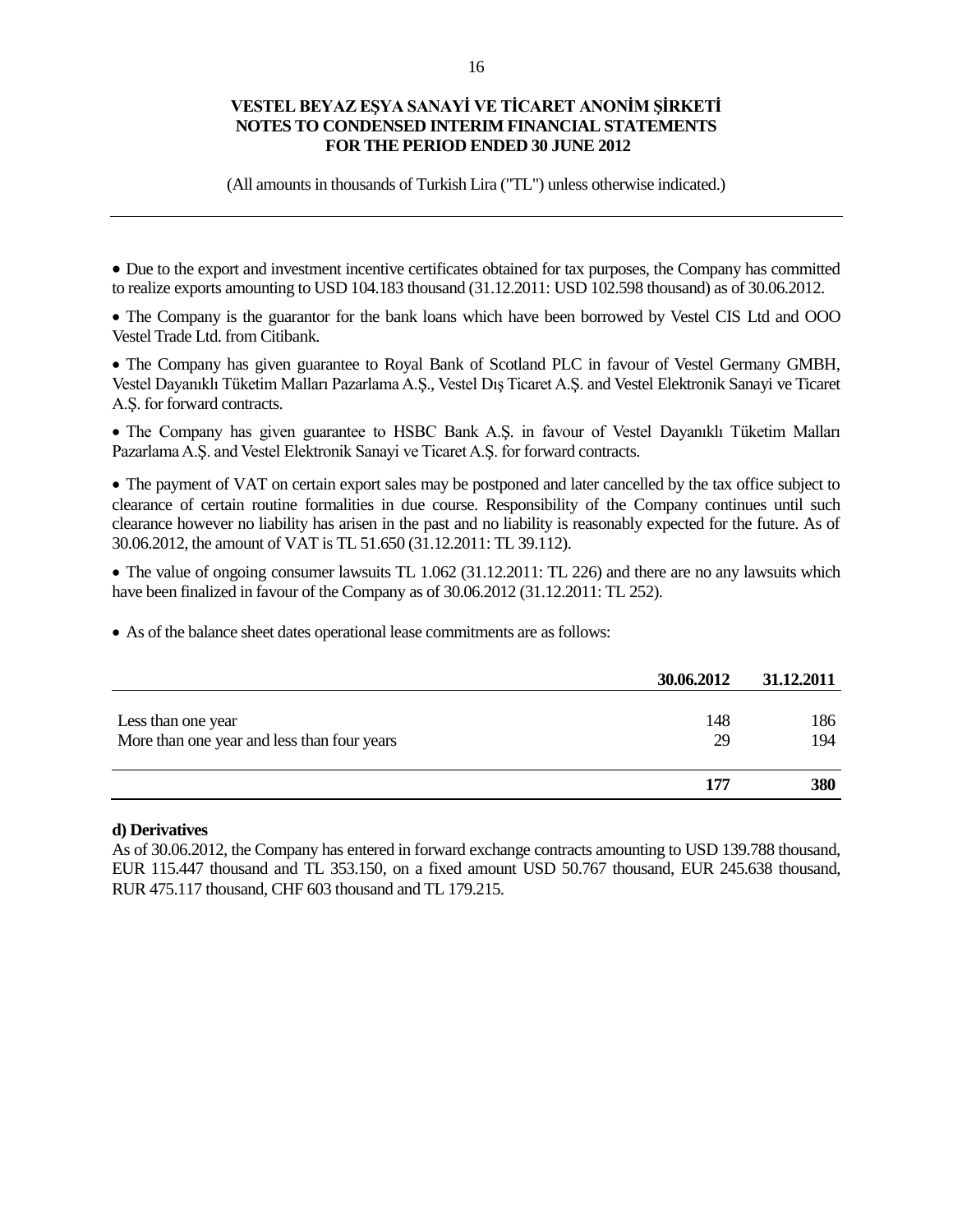(All amounts in thousands of Turkish Lira ("TL") unless otherwise indicated.)

 Due to the export and investment incentive certificates obtained for tax purposes, the Company has committed to realize exports amounting to USD 104.183 thousand (31.12.2011: USD 102.598 thousand) as of 30.06.2012.

• The Company is the guarantor for the bank loans which have been borrowed by Vestel CIS Ltd and OOO Vestel Trade Ltd. from Citibank.

• The Company has given guarantee to Royal Bank of Scotland PLC in favour of Vestel Germany GMBH, Vestel Dayanıklı Tüketim Malları Pazarlama A.Ş., Vestel Dış Ticaret A.Ş. and Vestel Elektronik Sanayi ve Ticaret A.Ş. for forward contracts.

• The Company has given guarantee to HSBC Bank A.Ş. in favour of Vestel Dayanıklı Tüketim Malları Pazarlama A.Ş. and Vestel Elektronik Sanayi ve Ticaret A.Ş. for forward contracts.

 The payment of VAT on certain export sales may be postponed and later cancelled by the tax office subject to clearance of certain routine formalities in due course. Responsibility of the Company continues until such clearance however no liability has arisen in the past and no liability is reasonably expected for the future. As of 30.06.2012, the amount of VAT is TL 51.650 (31.12.2011: TL 39.112).

• The value of ongoing consumer lawsuits TL 1.062 (31.12.2011: TL 226) and there are no any lawsuits which have been finalized in favour of the Company as of 30.06.2012 (31.12.2011: TL 252).

As of the balance sheet dates operational lease commitments are as follows:

|                                             | 30.06.2012 | 31.12.2011 |
|---------------------------------------------|------------|------------|
|                                             |            |            |
| Less than one year                          | 148        | 186        |
| More than one year and less than four years | 29         | 194        |
|                                             |            |            |
|                                             | 177        | 380        |

#### **d) Derivatives**

As of 30.06.2012, the Company has entered in forward exchange contracts amounting to USD 139.788 thousand, EUR 115.447 thousand and TL 353.150, on a fixed amount USD 50.767 thousand, EUR 245.638 thousand, RUR 475.117 thousand, CHF 603 thousand and TL 179.215.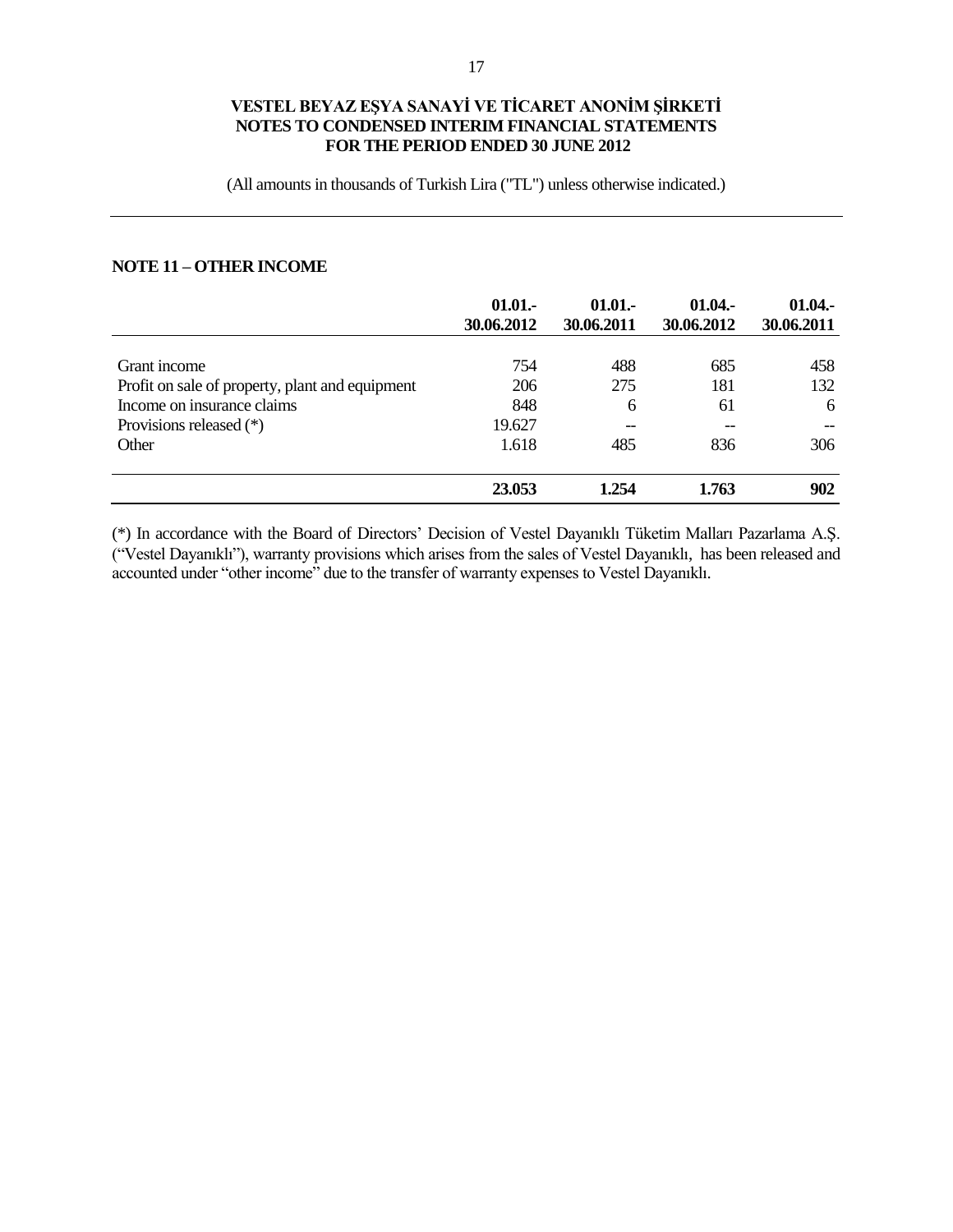(All amounts in thousands of Turkish Lira ("TL") unless otherwise indicated.)

# **NOTE 11 – OTHER INCOME**

|                                                 | 01.01.<br>30.06.2012 | $01.01 -$<br>30.06.2011 | 01.04.<br>30.06.2012 | 01.04.<br>30.06.2011 |
|-------------------------------------------------|----------------------|-------------------------|----------------------|----------------------|
| Grant income                                    | 754                  | 488                     | 685                  | 458                  |
| Profit on sale of property, plant and equipment | 206                  | 275                     | 181                  | 132                  |
| Income on insurance claims                      | 848                  | 6                       | 61                   | 6                    |
| Provisions released (*)                         | 19.627               | $-$                     | --                   |                      |
| Other                                           | 1.618                | 485                     | 836                  | 306                  |
|                                                 | 23.053               | 1.254                   | 1.763                | 902                  |

(\*) In accordance with the Board of Directors' Decision of Vestel Dayanıklı Tüketim Malları Pazarlama A.Ş. ("Vestel Dayanıklı"), warranty provisions which arises from the sales of Vestel Dayanıklı, has been released and accounted under "other income" due to the transfer of warranty expenses to Vestel Dayanıklı.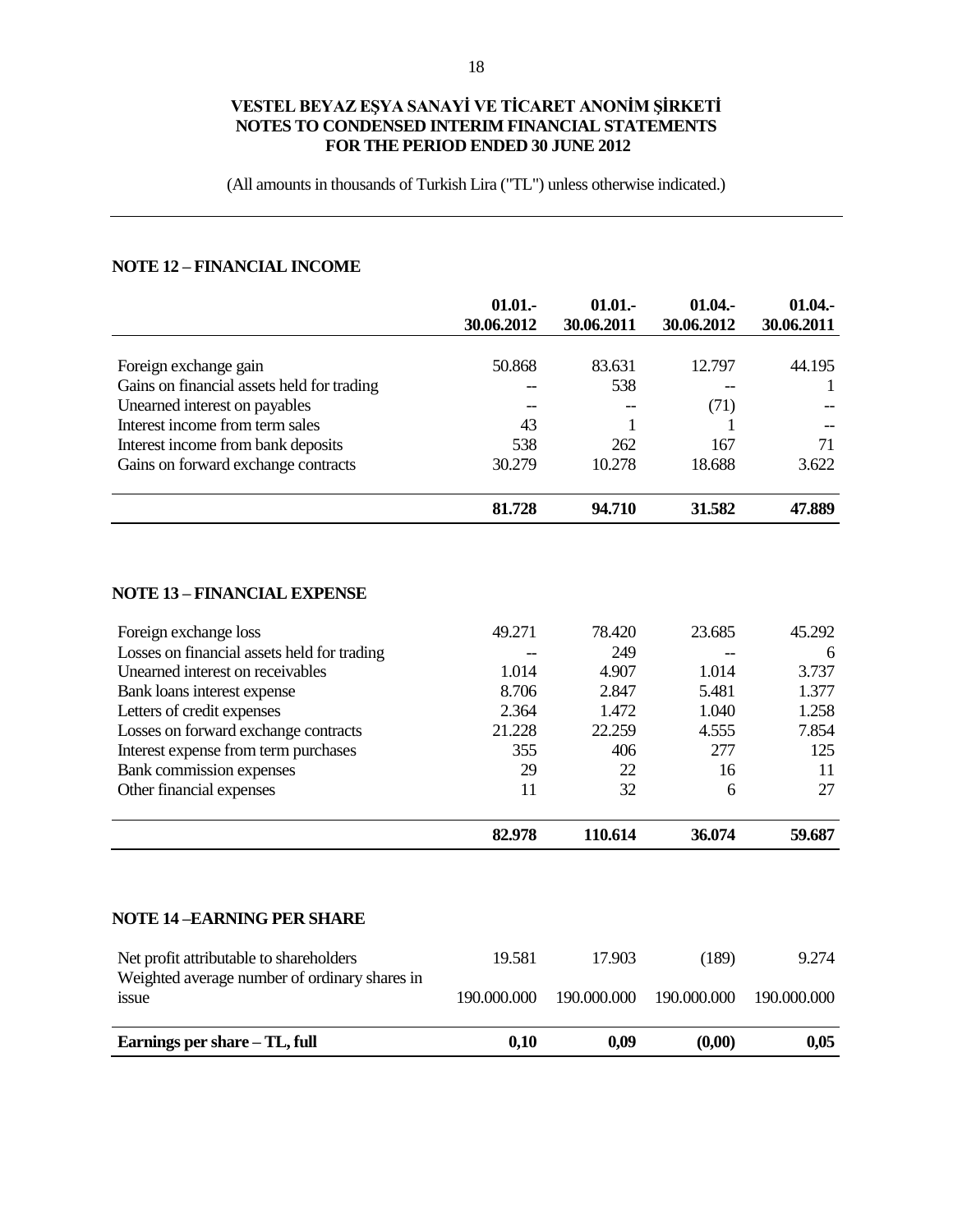(All amounts in thousands of Turkish Lira ("TL") unless otherwise indicated.)

# **NOTE 12 – FINANCIAL INCOME**

|                                                                                          | 01.01.<br>30.06.2012 | 01.01.<br>30.06.2011 | 01.04.<br>30.06.2012 | 01.04.<br>30.06.2011 |
|------------------------------------------------------------------------------------------|----------------------|----------------------|----------------------|----------------------|
|                                                                                          |                      |                      |                      |                      |
| Foreign exchange gain                                                                    | 50.868               | 83.631               | 12.797               | 44.195               |
| Gains on financial assets held for trading                                               |                      | 538                  |                      | 1                    |
| Unearned interest on payables                                                            | $-$                  | $\overline{a}$       | (71)                 |                      |
| Interest income from term sales                                                          | 43                   | 1                    | 1                    |                      |
| Interest income from bank deposits                                                       | 538                  | 262                  | 167                  | 71                   |
| Gains on forward exchange contracts                                                      | 30.279               | 10.278               | 18.688               | 3.622                |
|                                                                                          | 81.728               | 94.710               | 31.582               | 47.889               |
| <b>NOTE 13 - FINANCIAL EXPENSE</b>                                                       |                      |                      |                      |                      |
| Foreign exchange loss                                                                    | 49.271               | 78.420               | 23.685               | 45.292               |
| Losses on financial assets held for trading                                              |                      | 249                  |                      | 6                    |
| Unearned interest on receivables                                                         | 1.014                | 4.907                | 1.014                | 3.737                |
| Bank loans interest expense                                                              | 8.706                | 2.847                | 5.481                | 1.377                |
| Letters of credit expenses                                                               | 2.364                | 1.472                | 1.040                | 1.258                |
| Losses on forward exchange contracts                                                     | 21.228               | 22.259               | 4.555                | 7.854                |
| Interest expense from term purchases                                                     | 355                  | 406                  | 277                  | 125                  |
| Bank commission expenses                                                                 | 29                   | 22                   | 16                   | 11                   |
| Other financial expenses                                                                 | 11                   | 32                   | 6                    | 27                   |
|                                                                                          | 82.978               | 110.614              | 36.074               | 59.687               |
| <b>NOTE 14-EARNING PER SHARE</b>                                                         |                      |                      |                      |                      |
| Net profit attributable to shareholders<br>Weighted average number of ordinary shares in | 19.581               | 17.903               | (189)                | 9.274                |
| issue                                                                                    | 190.000.000          | 190.000.000          | 190.000.000          | 190.000.000          |
| Earnings per share - TL, full                                                            | 0,10                 | 0,09                 | (0,00)               | 0,05                 |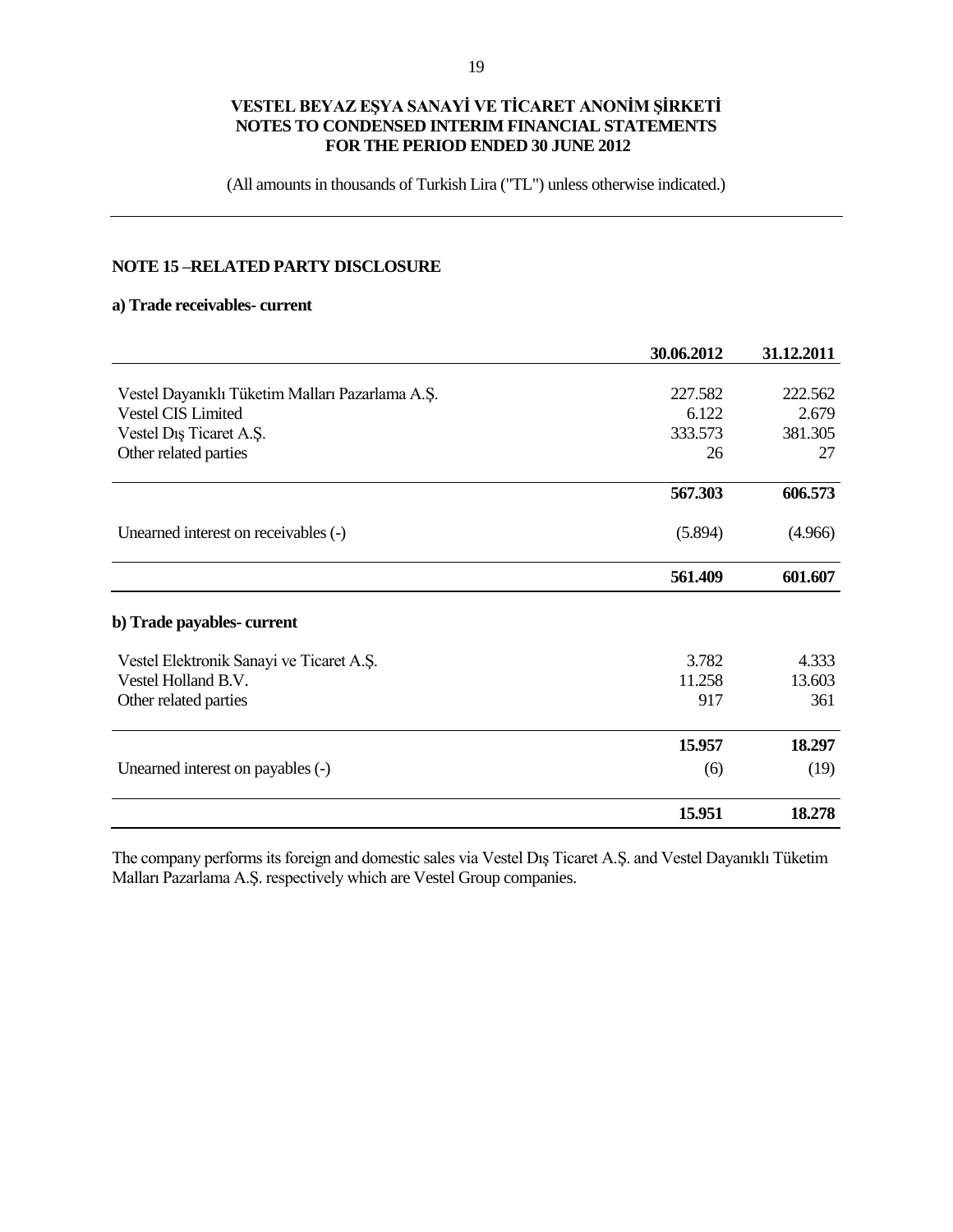(All amounts in thousands of Turkish Lira ("TL") unless otherwise indicated.)

# **NOTE 15 –RELATED PARTY DISCLOSURE**

#### **a) Trade receivables- current**

|                                                 | 30.06.2012 | 31.12.2011 |
|-------------------------------------------------|------------|------------|
|                                                 |            |            |
| Vestel Dayanıklı Tüketim Malları Pazarlama A.Ş. | 227.582    | 222.562    |
| Vestel CIS Limited                              | 6.122      | 2.679      |
| Vestel Diş Ticaret A.Ş.                         | 333.573    | 381.305    |
| Other related parties                           | 26         | 27         |
|                                                 | 567.303    | 606.573    |
| Unearned interest on receivables (-)            | (5.894)    | (4.966)    |
|                                                 | 561.409    | 601.607    |
| b) Trade payables-current                       |            |            |
| Vestel Elektronik Sanayi ve Ticaret A.S.        | 3.782      | 4.333      |
| Vestel Holland B.V.                             | 11.258     | 13.603     |
| Other related parties                           | 917        | 361        |
|                                                 | 15.957     | 18.297     |
| Unearned interest on payables (-)               | (6)        | (19)       |
|                                                 | 15.951     | 18.278     |

The company performs its foreign and domestic sales via Vestel Dış Ticaret A.Ş. and Vestel Dayanıklı Tüketim Malları Pazarlama A.Ş. respectively which are Vestel Group companies.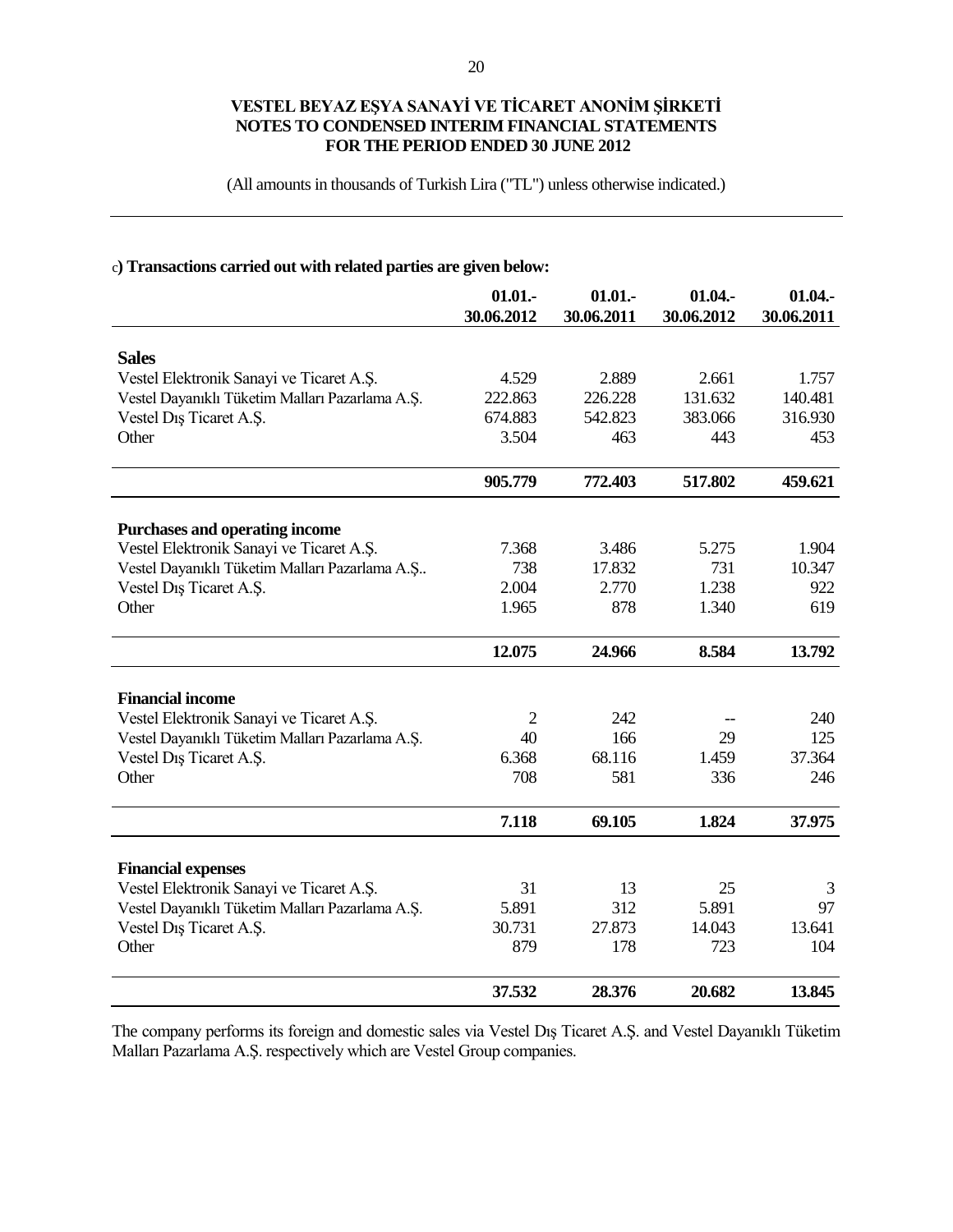(All amounts in thousands of Turkish Lira ("TL") unless otherwise indicated.)

## c**) Transactions carried out with related parties are given below:**

|                                                                                   | 01.01.<br>30.06.2012 | 01.01.<br>30.06.2011 | 01.04.<br>30.06.2012 | 01.04.<br>30.06.2011 |
|-----------------------------------------------------------------------------------|----------------------|----------------------|----------------------|----------------------|
|                                                                                   |                      |                      |                      |                      |
| <b>Sales</b>                                                                      |                      |                      |                      |                      |
| Vestel Elektronik Sanayi ve Ticaret A.Ş.                                          | 4.529                | 2.889                | 2.661                | 1.757                |
| Vestel Dayanıklı Tüketim Malları Pazarlama A.Ş.                                   | 222.863              | 226.228              | 131.632              | 140.481              |
| Vestel Diş Ticaret A.Ş.                                                           | 674.883              | 542.823              | 383.066              | 316.930              |
| Other                                                                             | 3.504                | 463                  | 443                  | 453                  |
|                                                                                   | 905.779              | 772.403              | 517.802              | 459.621              |
|                                                                                   |                      |                      |                      |                      |
| <b>Purchases and operating income</b><br>Vestel Elektronik Sanayi ve Ticaret A.Ş. | 7.368                | 3.486                | 5.275                | 1.904                |
| Vestel Dayanıklı Tüketim Malları Pazarlama A.Ş                                    | 738                  | 17.832               | 731                  | 10.347               |
| Vestel Diş Ticaret A.Ş.                                                           | 2.004                | 2.770                | 1.238                | 922                  |
| Other                                                                             | 1.965                | 878                  | 1.340                | 619                  |
|                                                                                   |                      |                      |                      |                      |
|                                                                                   | 12.075               | 24.966               | 8.584                | 13.792               |
| <b>Financial income</b>                                                           |                      |                      |                      |                      |
| Vestel Elektronik Sanayi ve Ticaret A.Ş.                                          | $\overline{2}$       | 242                  |                      | 240                  |
| Vestel Dayanıklı Tüketim Malları Pazarlama A.Ş.                                   | 40                   | 166                  | 29                   | 125                  |
| Vestel Dış Ticaret A.Ş.                                                           | 6.368                | 68.116               | 1.459                | 37.364               |
| Other                                                                             | 708                  | 581                  | 336                  | 246                  |
|                                                                                   | 7.118                | 69.105               | 1.824                | 37.975               |
|                                                                                   |                      |                      |                      |                      |
| <b>Financial expenses</b>                                                         |                      |                      |                      |                      |
| Vestel Elektronik Sanayi ve Ticaret A.Ş.                                          | 31                   | 13                   | 25                   | 3                    |
| Vestel Dayanıklı Tüketim Malları Pazarlama A.Ş.                                   | 5.891                | 312                  | 5.891                | 97                   |
| Vestel Dış Ticaret A.Ş.                                                           | 30.731               | 27.873               | 14.043               | 13.641               |
| Other                                                                             | 879                  | 178                  | 723                  | 104                  |
|                                                                                   | 37.532               | 28.376               | 20.682               | 13.845               |

The company performs its foreign and domestic sales via Vestel Dış Ticaret A.Ş. and Vestel Dayanıklı Tüketim Malları Pazarlama A.Ş. respectively which are Vestel Group companies.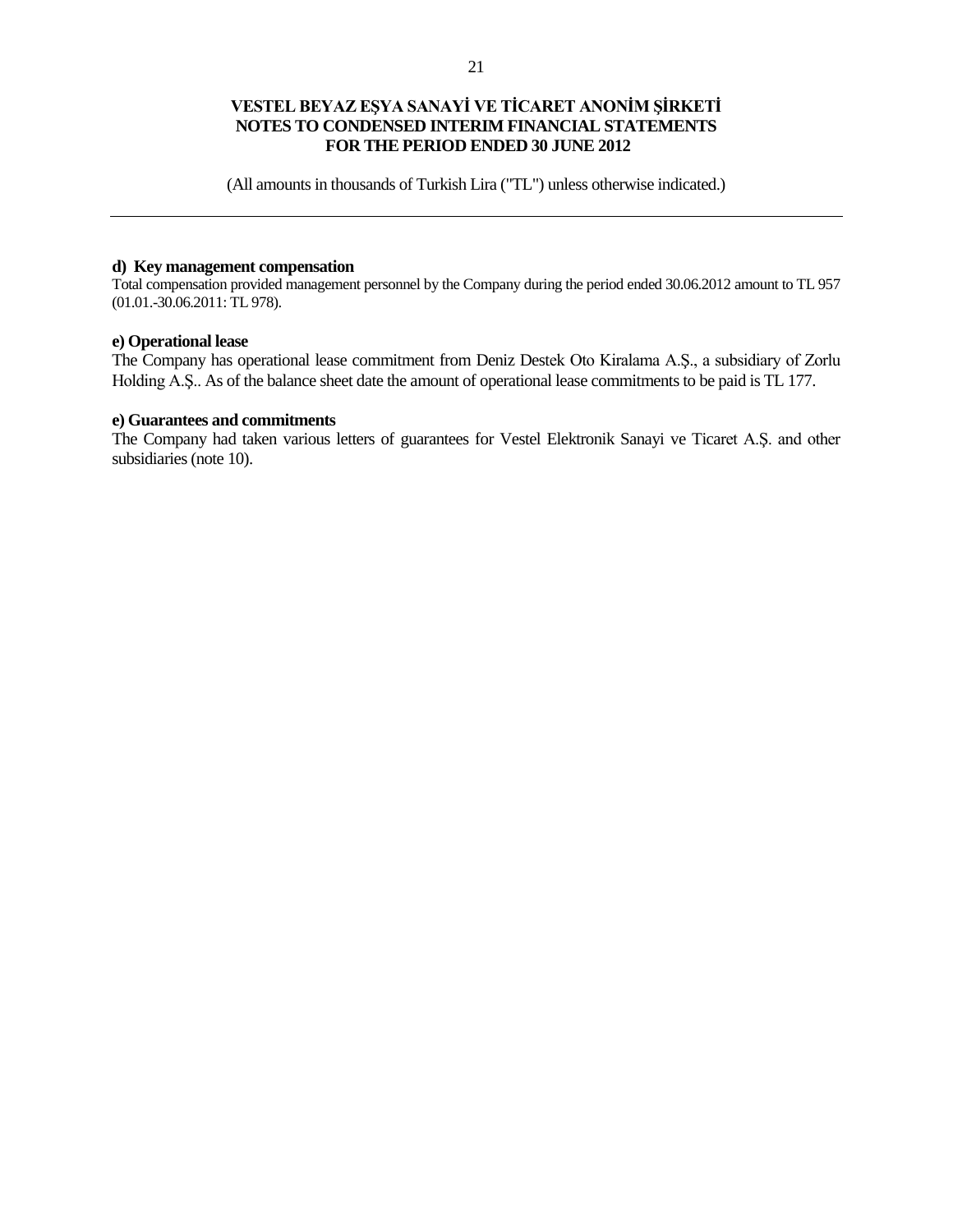(All amounts in thousands of Turkish Lira ("TL") unless otherwise indicated.)

## **d) Key management compensation**

Total compensation provided management personnel by the Company during the period ended 30.06.2012 amount to TL 957 (01.01.-30.06.2011: TL 978).

#### **e) Operational lease**

The Company has operational lease commitment from Deniz Destek Oto Kiralama A.Ş., a subsidiary of Zorlu Holding A.Ş.. As of the balance sheet date the amount of operational lease commitments to be paid is TL 177.

#### **e) Guarantees and commitments**

The Company had taken various letters of guarantees for Vestel Elektronik Sanayi ve Ticaret A.Ş. and other subsidiaries (note 10).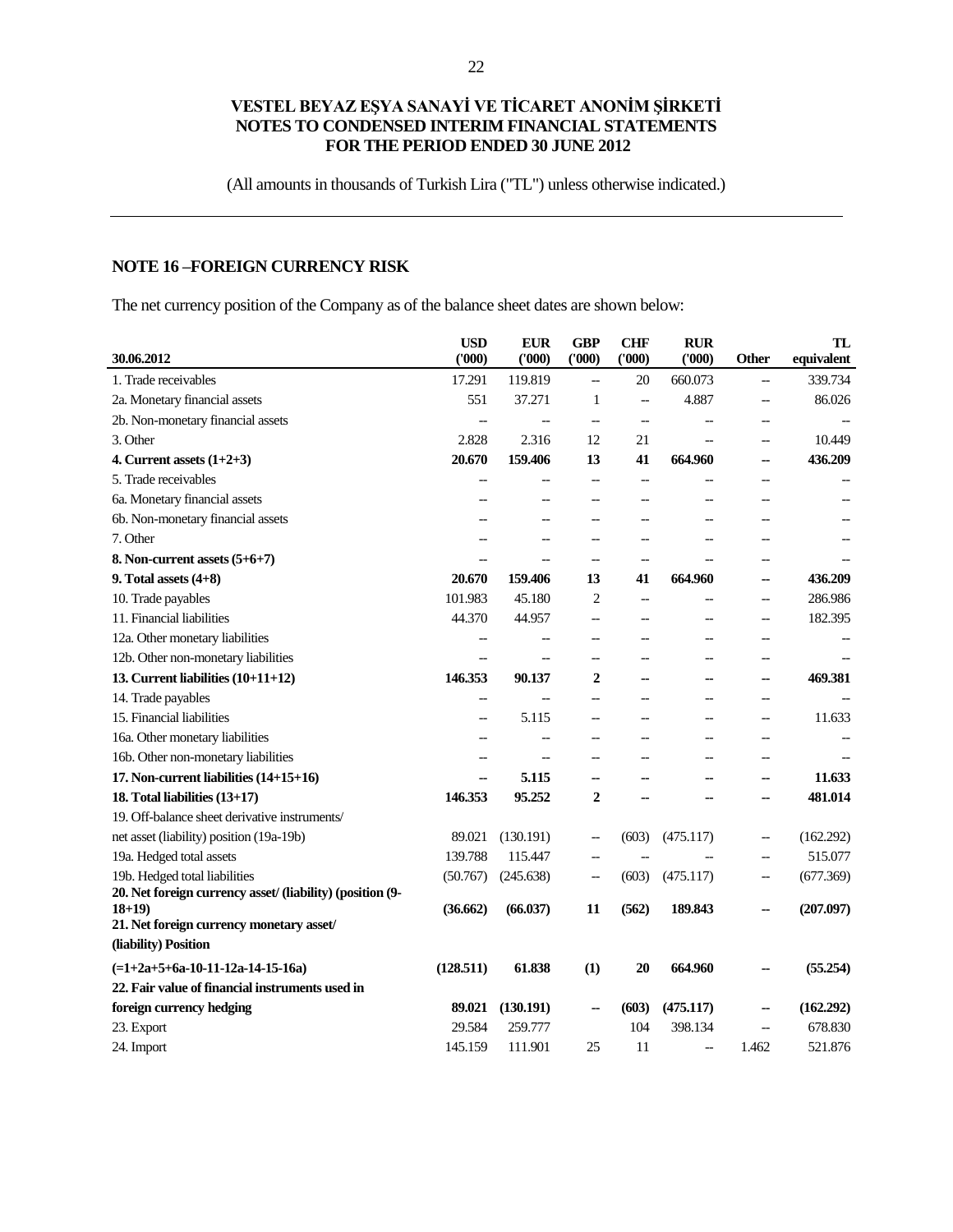(All amounts in thousands of Turkish Lira ("TL") unless otherwise indicated.)

# **NOTE 16 –FOREIGN CURRENCY RISK**

The net currency position of the Company as of the balance sheet dates are shown below:

| 30.06.2012                                                | <b>USD</b><br>(000)      | <b>EUR</b><br>(1000) | <b>GBP</b><br>(000)                                 | <b>CHF</b><br>(000)      | <b>RUR</b><br>(000)      | <b>Other</b>             | <b>TL</b><br>equivalent |
|-----------------------------------------------------------|--------------------------|----------------------|-----------------------------------------------------|--------------------------|--------------------------|--------------------------|-------------------------|
| 1. Trade receivables                                      | 17.291                   | 119.819              | $\overline{\phantom{a}}$                            | 20                       | 660.073                  | $\overline{\phantom{0}}$ | 339.734                 |
| 2a. Monetary financial assets                             | 551                      | 37.271               | $\mathbf{1}$                                        | $\overline{\phantom{a}}$ | 4.887                    |                          | 86.026                  |
| 2b. Non-monetary financial assets                         | $\overline{a}$           | $\overline{a}$       | $\hspace{0.05cm} -\hspace{0.05cm} -\hspace{0.05cm}$ | $\overline{\phantom{a}}$ |                          |                          |                         |
| 3. Other                                                  | 2.828                    | 2.316                | 12                                                  | 21                       | $\equiv$                 | $\overline{\phantom{0}}$ | 10.449                  |
| 4. Current assets $(1+2+3)$                               | 20.670                   | 159.406              | 13                                                  | 41                       | 664.960                  | --                       | 436.209                 |
| 5. Trade receivables                                      | -−                       |                      | $\overline{\phantom{a}}$                            |                          |                          |                          |                         |
| 6a. Monetary financial assets                             |                          |                      |                                                     |                          |                          |                          |                         |
| 6b. Non-monetary financial assets                         |                          |                      |                                                     |                          |                          |                          |                         |
| 7. Other                                                  | $\overline{a}$           | $\overline{a}$       | $\hspace{0.05cm}$ $\hspace{0.05cm}$                 |                          | --                       | --                       |                         |
| 8. Non-current assets $(5+6+7)$                           | $\overline{a}$           |                      | $-$                                                 |                          |                          | --                       |                         |
| 9. Total assets $(4+8)$                                   | 20.670                   | 159.406              | 13                                                  | 41                       | 664.960                  | н.                       | 436.209                 |
| 10. Trade payables                                        | 101.983                  | 45.180               | 2                                                   | $\overline{a}$           | $\overline{\phantom{a}}$ | $\overline{\phantom{a}}$ | 286.986                 |
| 11. Financial liabilities                                 | 44.370                   | 44.957               | $\overline{a}$                                      |                          | --                       | $\overline{\phantom{a}}$ | 182.395                 |
| 12a. Other monetary liabilities                           | --                       |                      | $-$                                                 |                          | $\overline{\phantom{0}}$ | $\overline{\phantom{0}}$ |                         |
| 12b. Other non-monetary liabilities                       | $\overline{a}$           | $\overline{a}$       | $\overline{\phantom{a}}$                            |                          | $\overline{\phantom{0}}$ | --                       |                         |
| 13. Current liabilities $(10+11+12)$                      | 146.353                  | 90.137               | $\mathbf 2$                                         |                          | ۰.                       | --                       | 469.381                 |
| 14. Trade payables                                        | --                       |                      | $-$                                                 |                          | $-$                      | $\overline{a}$           |                         |
| 15. Financial liabilities                                 | $\overline{a}$           | 5.115                | $\overline{\phantom{a}}$                            |                          |                          | --                       | 11.633                  |
| 16a. Other monetary liabilities                           | $\overline{a}$           |                      | $\overline{a}$                                      |                          | $\overline{\phantom{a}}$ | $\overline{\phantom{a}}$ |                         |
| 16b. Other non-monetary liabilities                       | $\overline{\phantom{a}}$ | $\overline{a}$       | $-$                                                 |                          | $\overline{\phantom{a}}$ | $-$                      |                         |
| 17. Non-current liabilities (14+15+16)                    | ш,                       | 5.115                | ц.                                                  |                          |                          | ٠.                       | 11.633                  |
| 18. Total liabilities (13+17)                             | 146.353                  | 95.252               | $\overline{2}$                                      |                          |                          |                          | 481.014                 |
| 19. Off-balance sheet derivative instruments/             |                          |                      |                                                     |                          |                          |                          |                         |
| net asset (liability) position (19a-19b)                  | 89.021                   | (130.191)            | $\hspace{0.05cm} -$                                 | (603)                    | (475.117)                | --                       | (162.292)               |
| 19a. Hedged total assets                                  | 139.788                  | 115.447              |                                                     |                          |                          |                          | 515.077                 |
| 19b. Hedged total liabilities                             | (50.767)                 | (245.638)            | $\hspace{0.05cm} -\hspace{0.05cm} -\hspace{0.05cm}$ | (603)                    | (475.117)                | --                       | (677.369)               |
| 20. Net foreign currency asset/ (liability) (position (9- |                          |                      |                                                     |                          |                          |                          |                         |
| $18+19$<br>21. Net foreign currency monetary asset/       | (36.662)                 | (66.037)             | 11                                                  | (562)                    | 189.843                  |                          | (207.097)               |
| (liability) Position                                      |                          |                      |                                                     |                          |                          |                          |                         |
| $(=1+2a+5+6a-10-11-12a-14-15-16a)$                        | (128.511)                | 61.838               | (1)                                                 | 20                       | 664.960                  |                          | (55.254)                |
| 22. Fair value of financial instruments used in           |                          |                      |                                                     |                          |                          |                          |                         |
| foreign currency hedging                                  | 89.021                   | (130.191)            | --                                                  | (603)                    | (475.117)                | ж.                       | (162.292)               |
| 23. Export                                                | 29.584                   | 259.777              |                                                     | 104                      | 398.134                  |                          | 678.830                 |
| 24. Import                                                | 145.159                  | 111.901              | 25                                                  | 11                       | $\overline{\phantom{a}}$ | 1.462                    | 521.876                 |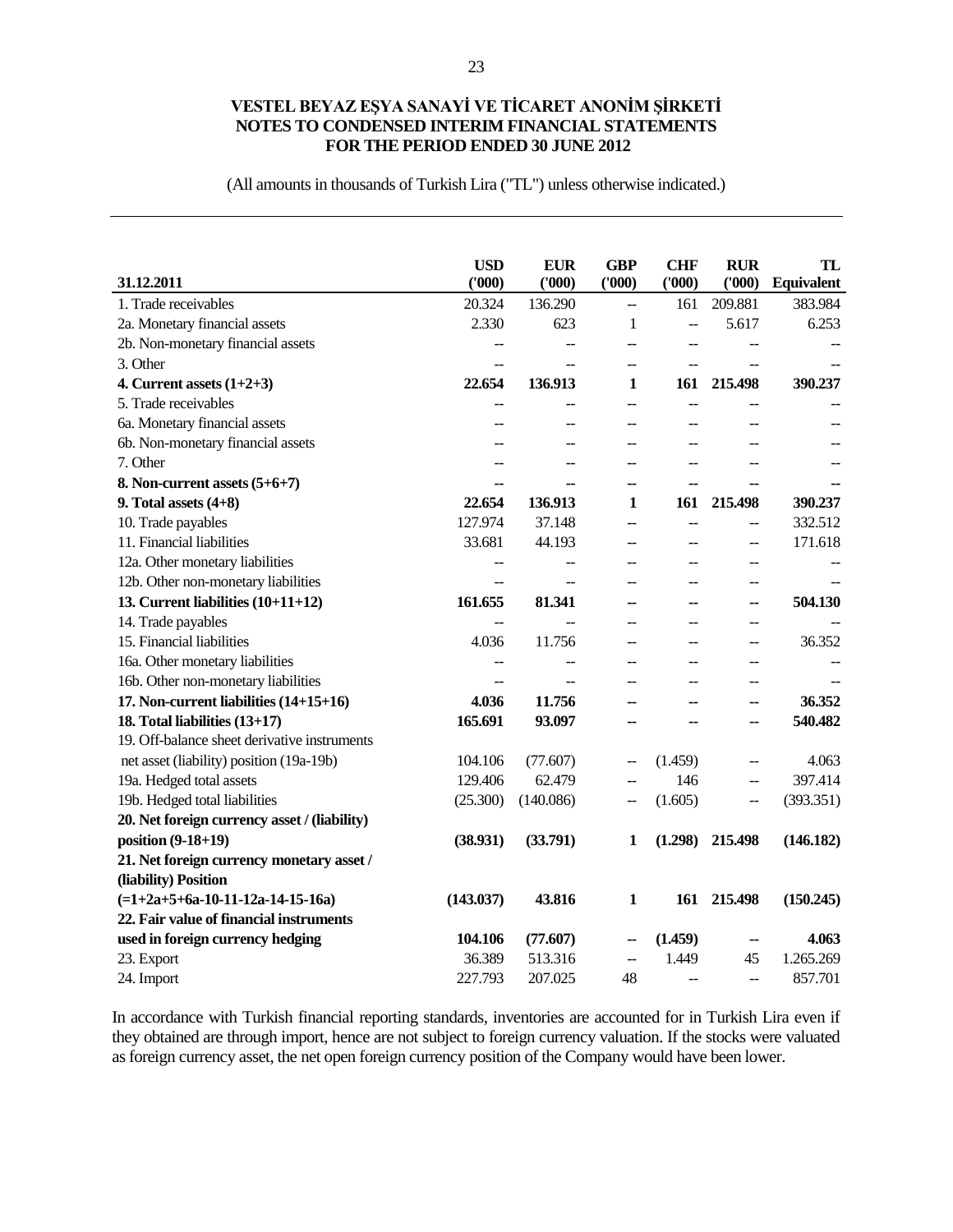(All amounts in thousands of Turkish Lira ("TL") unless otherwise indicated.)

|                                              | <b>USD</b>               | <b>EUR</b>     | <b>GBP</b>               | <b>CHF</b>     | <b>RUR</b>     | TL                |
|----------------------------------------------|--------------------------|----------------|--------------------------|----------------|----------------|-------------------|
| 31.12.2011                                   | (000)                    | (000)          | (000)                    | (000)          | (000)          | <b>Equivalent</b> |
| 1. Trade receivables                         | 20.324                   | 136.290        | ÷-                       | 161            | 209.881        | 383.984           |
| 2a. Monetary financial assets                | 2.330                    | 623            | 1                        | --             | 5.617          | 6.253             |
| 2b. Non-monetary financial assets            | --                       | --             | --                       | --             |                |                   |
| 3. Other                                     | --                       | --             | --                       | --             | $-$            |                   |
| 4. Current assets $(1+2+3)$                  | 22.654                   | 136.913        | 1                        | 161            | 215.498        | 390.237           |
| 5. Trade receivables                         | --                       | --             | --                       | --             |                |                   |
| 6a. Monetary financial assets                | --                       | --             | --                       | $-$            | $-$            |                   |
| 6b. Non-monetary financial assets            | $-$                      | --             | --                       | $-$            | $-$            |                   |
| 7. Other                                     | $-$                      | $-$            | --                       | $-$            | $-$            |                   |
| 8. Non-current assets $(5+6+7)$              | --                       | --             | --                       | --             | --             |                   |
| 9. Total assets $(4+8)$                      | 22.654                   | 136.913        | 1                        | 161            | 215.498        | 390.237           |
| 10. Trade payables                           | 127.974                  | 37.148         | $\overline{a}$           | $\overline{a}$ | $-$            | 332.512           |
| 11. Financial liabilities                    | 33.681                   | 44.193         | --                       | $\overline{a}$ | $-$            | 171.618           |
| 12a. Other monetary liabilities              | $-$                      | $-$            | --                       | $-$            | $-$            |                   |
| 12b. Other non-monetary liabilities          | $\overline{a}$           | $-$            | --                       | $\sim$         | $-$            |                   |
| 13. Current liabilities (10+11+12)           | 161.655                  | 81.341         | --                       | --             | --             | 504.130           |
| 14. Trade payables                           | --                       | $\overline{a}$ | $\overline{a}$           | $\sim$         | --             |                   |
| 15. Financial liabilities                    | 4.036                    | 11.756         | $\overline{a}$           | $\sim$         | $-$            | 36.352            |
| 16a. Other monetary liabilities              | $\overline{\phantom{a}}$ | $\overline{a}$ | --                       | $\sim$         | --             |                   |
| 16b. Other non-monetary liabilities          | $\overline{\phantom{a}}$ | --             | --                       | --             | --             |                   |
| 17. Non-current liabilities (14+15+16)       | 4.036                    | 11.756         | --                       | --             | --             | 36.352            |
| 18. Total liabilities (13+17)                | 165.691                  | 93.097         | --                       | --             | --             | 540.482           |
| 19. Off-balance sheet derivative instruments |                          |                |                          |                |                |                   |
| net asset (liability) position (19a-19b)     | 104.106                  | (77.607)       | --                       | (1.459)        | --             | 4.063             |
| 19a. Hedged total assets                     | 129.406                  | 62.479         | $\overline{a}$           | 146            | --             | 397.414           |
| 19b. Hedged total liabilities                | (25.300)                 | (140.086)      | --                       | (1.605)        | $-$            | (393.351)         |
| 20. Net foreign currency asset / (liability) |                          |                |                          |                |                |                   |
| position (9-18+19)                           | (38.931)                 | (33.791)       | 1                        | (1.298)        | 215.498        | (146.182)         |
| 21. Net foreign currency monetary asset /    |                          |                |                          |                |                |                   |
| (liability) Position                         |                          |                |                          |                |                |                   |
| $(=1+2a+5+6a-10-11-12a-14-15-16a)$           | (143.037)                | 43.816         | $\mathbf{1}$             | 161            | 215.498        | (150.245)         |
| 22. Fair value of financial instruments      |                          |                |                          |                |                |                   |
| used in foreign currency hedging             | 104.106                  | (77.607)       | --                       | (1.459)        | --             | 4.063             |
| 23. Export                                   | 36.389                   | 513.316        | $\overline{\phantom{a}}$ | 1.449          | 45             | 1.265.269         |
| 24. Import                                   | 227.793                  | 207.025        | 48                       | $-$            | $\overline{a}$ | 857.701           |

In accordance with Turkish financial reporting standards, inventories are accounted for in Turkish Lira even if they obtained are through import, hence are not subject to foreign currency valuation. If the stocks were valuated as foreign currency asset, the net open foreign currency position of the Company would have been lower.